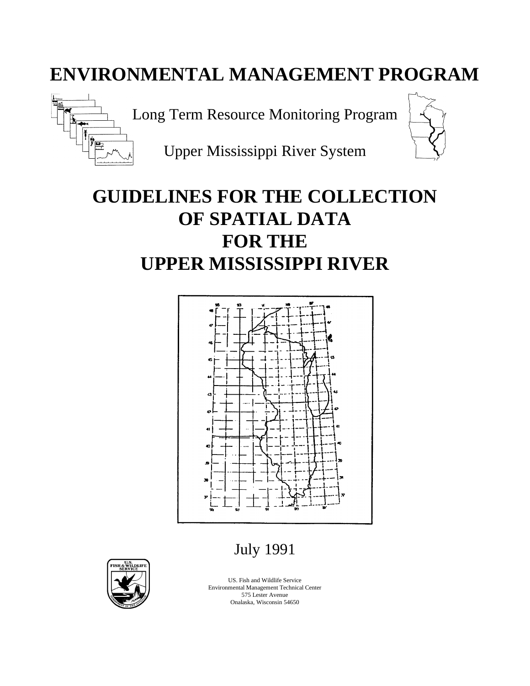# **ENVIRONMENTAL MANAGEMENT PROGRAM**



Long Term Resource Monitoring Program

Upper Mississippi River System

# **GUIDELINES FOR THE COLLECTION OF SPATIAL DATA FOR THE UPPER MISSISSIPPI RIVER**



July 1991



US. Fish and Wildlife Service Environmental Management Technical Center 575 Lester Avenue Onalaska, Wisconsin 54650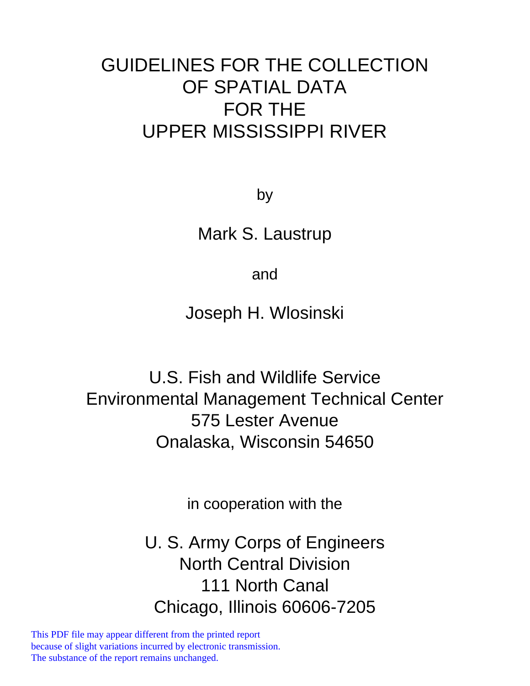# GUIDELINES FOR THE COLLECTION OF SPATIAL DATA FOR THE UPPER MISSISSIPPI RIVER

by

Mark S. Laustrup

and

Joseph H. Wlosinski

U.S. Fish and Wildlife Service Environmental Management Technical Center 575 Lester Avenue Onalaska, Wisconsin 54650

in cooperation with the

U. S. Army Corps of Engineers North Central Division 111 North Canal Chicago, Illinois 60606-7205

This PDF file may appear different from the printed report because of slight variations incurred by electronic transmission. The substance of the report remains unchanged.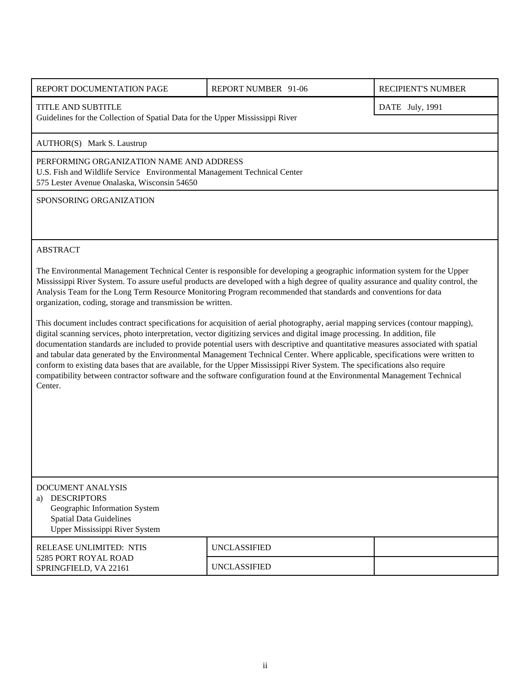| REPORT DOCUMENTATION PAGE                                                                                                                                                                                                                                                                                                                                                                                                                                                                                                                                                                                                                                                                                                                                                                                   | REPORT NUMBER 91-06 | RECIPIENT'S NUMBER |  |
|-------------------------------------------------------------------------------------------------------------------------------------------------------------------------------------------------------------------------------------------------------------------------------------------------------------------------------------------------------------------------------------------------------------------------------------------------------------------------------------------------------------------------------------------------------------------------------------------------------------------------------------------------------------------------------------------------------------------------------------------------------------------------------------------------------------|---------------------|--------------------|--|
| TITLE AND SUBTITLE<br>DATE July, 1991<br>Guidelines for the Collection of Spatial Data for the Upper Mississippi River                                                                                                                                                                                                                                                                                                                                                                                                                                                                                                                                                                                                                                                                                      |                     |                    |  |
| AUTHOR(S) Mark S. Laustrup                                                                                                                                                                                                                                                                                                                                                                                                                                                                                                                                                                                                                                                                                                                                                                                  |                     |                    |  |
| PERFORMING ORGANIZATION NAME AND ADDRESS<br>U.S. Fish and Wildlife Service Environmental Management Technical Center<br>575 Lester Avenue Onalaska, Wisconsin 54650                                                                                                                                                                                                                                                                                                                                                                                                                                                                                                                                                                                                                                         |                     |                    |  |
| SPONSORING ORGANIZATION                                                                                                                                                                                                                                                                                                                                                                                                                                                                                                                                                                                                                                                                                                                                                                                     |                     |                    |  |
|                                                                                                                                                                                                                                                                                                                                                                                                                                                                                                                                                                                                                                                                                                                                                                                                             |                     |                    |  |
| <b>ABSTRACT</b>                                                                                                                                                                                                                                                                                                                                                                                                                                                                                                                                                                                                                                                                                                                                                                                             |                     |                    |  |
| The Environmental Management Technical Center is responsible for developing a geographic information system for the Upper<br>Mississippi River System. To assure useful products are developed with a high degree of quality assurance and quality control, the<br>Analysis Team for the Long Term Resource Monitoring Program recommended that standards and conventions for data<br>organization, coding, storage and transmission be written.                                                                                                                                                                                                                                                                                                                                                            |                     |                    |  |
| This document includes contract specifications for acquisition of aerial photography, aerial mapping services (contour mapping),<br>digital scanning services, photo interpretation, vector digitizing services and digital image processing. In addition, file<br>documentation standards are included to provide potential users with descriptive and quantitative measures associated with spatial<br>and tabular data generated by the Environmental Management Technical Center. Where applicable, specifications were written to<br>conform to existing data bases that are available, for the Upper Mississippi River System. The specifications also require<br>compatibility between contractor software and the software configuration found at the Environmental Management Technical<br>Center. |                     |                    |  |
|                                                                                                                                                                                                                                                                                                                                                                                                                                                                                                                                                                                                                                                                                                                                                                                                             |                     |                    |  |
|                                                                                                                                                                                                                                                                                                                                                                                                                                                                                                                                                                                                                                                                                                                                                                                                             |                     |                    |  |
|                                                                                                                                                                                                                                                                                                                                                                                                                                                                                                                                                                                                                                                                                                                                                                                                             |                     |                    |  |
|                                                                                                                                                                                                                                                                                                                                                                                                                                                                                                                                                                                                                                                                                                                                                                                                             |                     |                    |  |
| <b>DOCUMENT ANALYSIS</b><br><b>DESCRIPTORS</b><br>a)<br>Geographic Information System<br><b>Spatial Data Guidelines</b><br>Upper Mississippi River System                                                                                                                                                                                                                                                                                                                                                                                                                                                                                                                                                                                                                                                   |                     |                    |  |
| RELEASE UNLIMITED: NTIS                                                                                                                                                                                                                                                                                                                                                                                                                                                                                                                                                                                                                                                                                                                                                                                     | <b>UNCLASSIFIED</b> |                    |  |

5285 PORT ROYAL ROAD

SPRINGFIELD, VA 22161 UNCLASSIFIED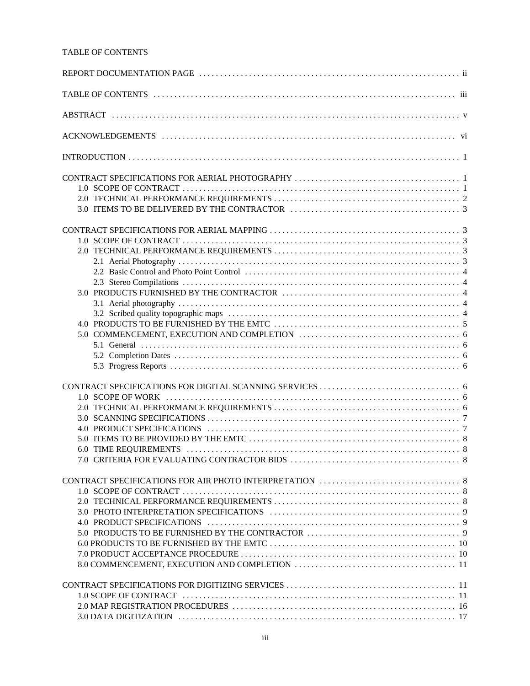#### TABLE OF CONTENTS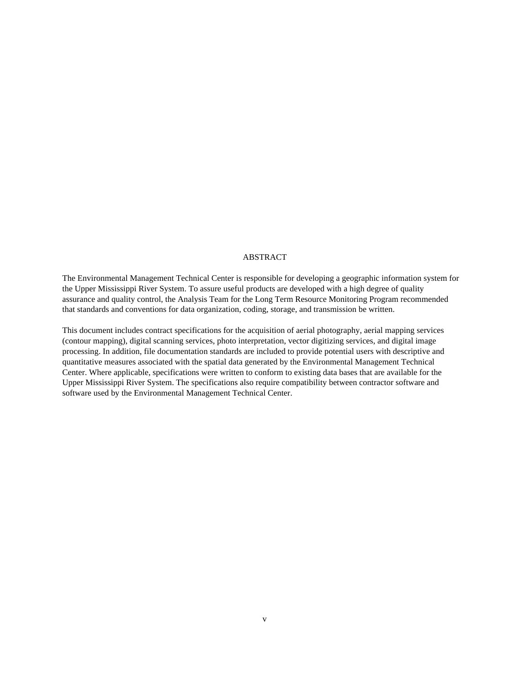#### ABSTRACT

The Environmental Management Technical Center is responsible for developing a geographic information system for the Upper Mississippi River System. To assure useful products are developed with a high degree of quality assurance and quality control, the Analysis Team for the Long Term Resource Monitoring Program recommended that standards and conventions for data organization, coding, storage, and transmission be written.

This document includes contract specifications for the acquisition of aerial photography, aerial mapping services (contour mapping), digital scanning services, photo interpretation, vector digitizing services, and digital image processing. In addition, file documentation standards are included to provide potential users with descriptive and quantitative measures associated with the spatial data generated by the Environmental Management Technical Center. Where applicable, specifications were written to conform to existing data bases that are available for the Upper Mississippi River System. The specifications also require compatibility between contractor software and software used by the Environmental Management Technical Center.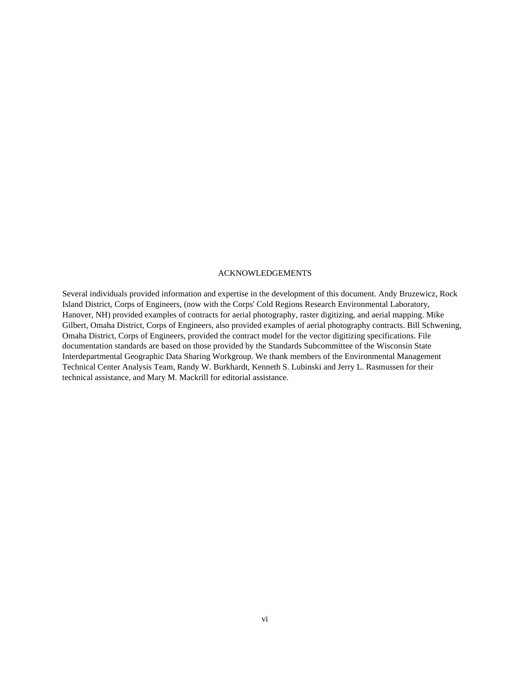#### ACKNOWLEDGEMENTS

Several individuals provided information and expertise in the development of this document. Andy Bruzewicz, Rock Island District, Corps of Engineers, (now with the Corps' Cold Regions Research Environmental Laboratory, Hanover, NH) provided examples of contracts for aerial photography, raster digitizing, and aerial mapping. Mike Gilbert, Omaha District, Corps of Engineers, also provided examples of aerial photography contracts. Bill Schwening, Omaha District, Corps of Engineers, provided the contract model for the vector digitizing specifications. File documentation standards are based on those provided by the Standards Subcommittee of the Wisconsin State Interdepartmental Geographic Data Sharing Workgroup. We thank members of the Environmental Management Technical Center Analysis Team, Randy W. Burkhardt, Kenneth S. Lubinski and Jerry L. Rasmussen for their technical assistance, and Mary M. Mackrill for editorial assistance.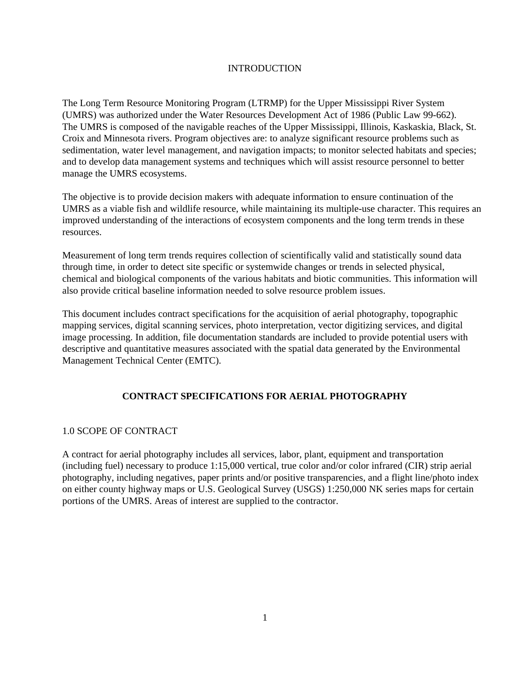#### INTRODUCTION

The Long Term Resource Monitoring Program (LTRMP) for the Upper Mississippi River System (UMRS) was authorized under the Water Resources Development Act of 1986 (Public Law 99-662). The UMRS is composed of the navigable reaches of the Upper Mississippi, Illinois, Kaskaskia, Black, St. Croix and Minnesota rivers. Program objectives are: to analyze significant resource problems such as sedimentation, water level management, and navigation impacts; to monitor selected habitats and species; and to develop data management systems and techniques which will assist resource personnel to better manage the UMRS ecosystems.

The objective is to provide decision makers with adequate information to ensure continuation of the UMRS as a viable fish and wildlife resource, while maintaining its multiple-use character. This requires an improved understanding of the interactions of ecosystem components and the long term trends in these resources.

Measurement of long term trends requires collection of scientifically valid and statistically sound data through time, in order to detect site specific or systemwide changes or trends in selected physical, chemical and biological components of the various habitats and biotic communities. This information will also provide critical baseline information needed to solve resource problem issues.

This document includes contract specifications for the acquisition of aerial photography, topographic mapping services, digital scanning services, photo interpretation, vector digitizing services, and digital image processing. In addition, file documentation standards are included to provide potential users with descriptive and quantitative measures associated with the spatial data generated by the Environmental Management Technical Center (EMTC).

# **CONTRACT SPECIFICATIONS FOR AERIAL PHOTOGRAPHY**

## 1.0 SCOPE OF CONTRACT

A contract for aerial photography includes all services, labor, plant, equipment and transportation (including fuel) necessary to produce 1:15,000 vertical, true color and/or color infrared (CIR) strip aerial photography, including negatives, paper prints and/or positive transparencies, and a flight line/photo index on either county highway maps or U.S. Geological Survey (USGS) 1:250,000 NK series maps for certain portions of the UMRS. Areas of interest are supplied to the contractor.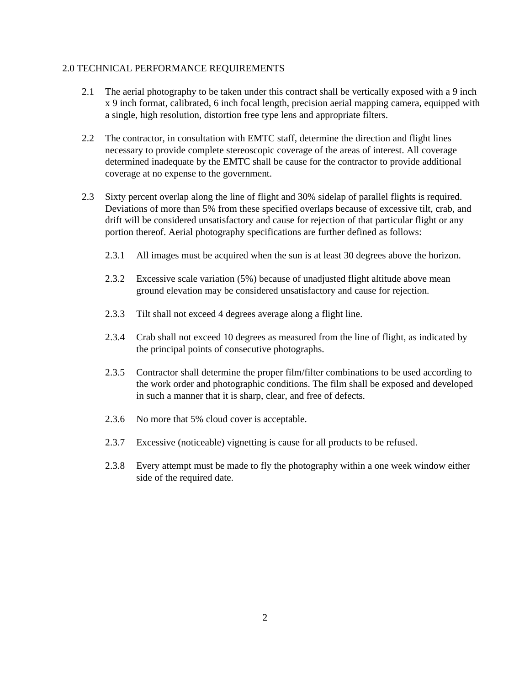#### 2.0 TECHNICAL PERFORMANCE REQUIREMENTS

- 2.1 The aerial photography to be taken under this contract shall be vertically exposed with a 9 inch x 9 inch format, calibrated, 6 inch focal length, precision aerial mapping camera, equipped with a single, high resolution, distortion free type lens and appropriate filters.
- 2.2 The contractor, in consultation with EMTC staff, determine the direction and flight lines necessary to provide complete stereoscopic coverage of the areas of interest. All coverage determined inadequate by the EMTC shall be cause for the contractor to provide additional coverage at no expense to the government.
- 2.3 Sixty percent overlap along the line of flight and 30% sidelap of parallel flights is required. Deviations of more than 5% from these specified overlaps because of excessive tilt, crab, and drift will be considered unsatisfactory and cause for rejection of that particular flight or any portion thereof. Aerial photography specifications are further defined as follows:
	- 2.3.1 All images must be acquired when the sun is at least 30 degrees above the horizon.
	- 2.3.2 Excessive scale variation (5%) because of unadjusted flight altitude above mean ground elevation may be considered unsatisfactory and cause for rejection.
	- 2.3.3 Tilt shall not exceed 4 degrees average along a flight line.
	- 2.3.4 Crab shall not exceed 10 degrees as measured from the line of flight, as indicated by the principal points of consecutive photographs.
	- 2.3.5 Contractor shall determine the proper film/filter combinations to be used according to the work order and photographic conditions. The film shall be exposed and developed in such a manner that it is sharp, clear, and free of defects.
	- 2.3.6 No more that 5% cloud cover is acceptable.
	- 2.3.7 Excessive (noticeable) vignetting is cause for all products to be refused.
	- 2.3.8 Every attempt must be made to fly the photography within a one week window either side of the required date.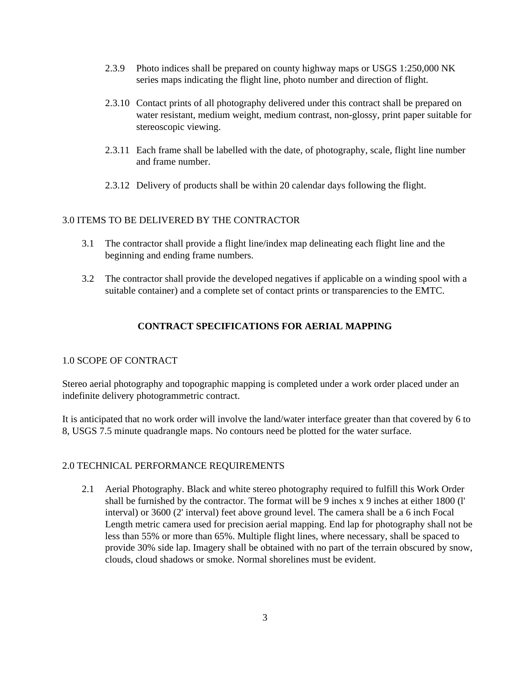- 2.3.9 Photo indices shall be prepared on county highway maps or USGS 1:250,000 NK series maps indicating the flight line, photo number and direction of flight.
- 2.3.10 Contact prints of all photography delivered under this contract shall be prepared on water resistant, medium weight, medium contrast, non-glossy, print paper suitable for stereoscopic viewing.
- 2.3.11 Each frame shall be labelled with the date, of photography, scale, flight line number and frame number.
- 2.3.12 Delivery of products shall be within 20 calendar days following the flight.

#### 3.0 ITEMS TO BE DELIVERED BY THE CONTRACTOR

- 3.1 The contractor shall provide a flight line/index map delineating each flight line and the beginning and ending frame numbers.
- 3.2 The contractor shall provide the developed negatives if applicable on a winding spool with a suitable container) and a complete set of contact prints or transparencies to the EMTC.

# **CONTRACT SPECIFICATIONS FOR AERIAL MAPPING**

#### 1.0 SCOPE OF CONTRACT

Stereo aerial photography and topographic mapping is completed under a work order placed under an indefinite delivery photogrammetric contract.

It is anticipated that no work order will involve the land/water interface greater than that covered by 6 to 8, USGS 7.5 minute quadrangle maps. No contours need be plotted for the water surface.

#### 2.0 TECHNICAL PERFORMANCE REQUIREMENTS

2.1 Aerial Photography. Black and white stereo photography required to fulfill this Work Order shall be furnished by the contractor. The format will be 9 inches x 9 inches at either 1800 (l' interval) or 3600 (2' interval) feet above ground level. The camera shall be a 6 inch Focal Length metric camera used for precision aerial mapping. End lap for photography shall not be less than 55% or more than 65%. Multiple flight lines, where necessary, shall be spaced to provide 30% side lap. Imagery shall be obtained with no part of the terrain obscured by snow, clouds, cloud shadows or smoke. Normal shorelines must be evident.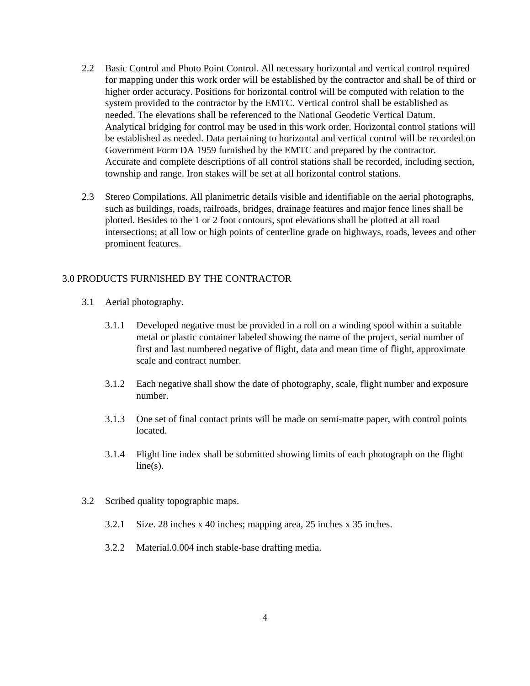- 2.2 Basic Control and Photo Point Control. All necessary horizontal and vertical control required for mapping under this work order will be established by the contractor and shall be of third or higher order accuracy. Positions for horizontal control will be computed with relation to the system provided to the contractor by the EMTC. Vertical control shall be established as needed. The elevations shall be referenced to the National Geodetic Vertical Datum. Analytical bridging for control may be used in this work order. Horizontal control stations will be established as needed. Data pertaining to horizontal and vertical control will be recorded on Government Form DA 1959 furnished by the EMTC and prepared by the contractor. Accurate and complete descriptions of all control stations shall be recorded, including section, township and range. Iron stakes will be set at all horizontal control stations.
- 2.3 Stereo Compilations. All planimetric details visible and identifiable on the aerial photographs, such as buildings, roads, railroads, bridges, drainage features and major fence lines shall be plotted. Besides to the 1 or 2 foot contours, spot elevations shall be plotted at all road intersections; at all low or high points of centerline grade on highways, roads, levees and other prominent features.

# 3.0 PRODUCTS FURNISHED BY THE CONTRACTOR

- 3.1 Aerial photography.
	- 3.1.1 Developed negative must be provided in a roll on a winding spool within a suitable metal or plastic container labeled showing the name of the project, serial number of first and last numbered negative of flight, data and mean time of flight, approximate scale and contract number.
	- 3.1.2 Each negative shall show the date of photography, scale, flight number and exposure number.
	- 3.1.3 One set of final contact prints will be made on semi-matte paper, with control points located.
	- 3.1.4 Flight line index shall be submitted showing limits of each photograph on the flight  $line(s)$ .
- 3.2 Scribed quality topographic maps.
	- 3.2.1 Size. 28 inches x 40 inches; mapping area, 25 inches x 35 inches.
	- 3.2.2 Material.0.004 inch stable-base drafting media.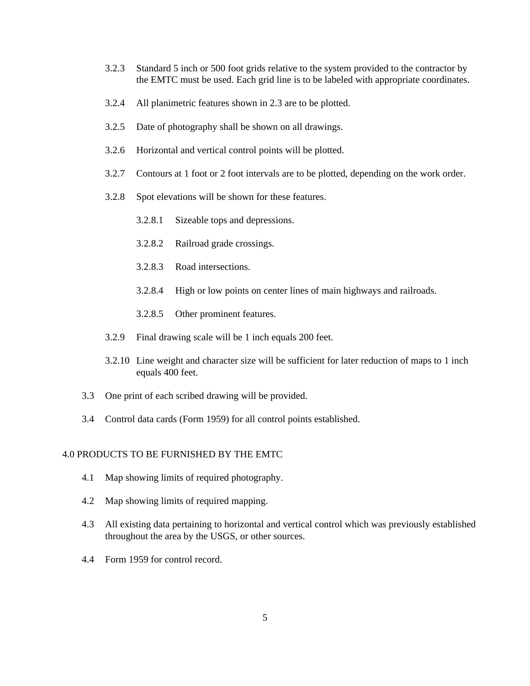- 3.2.3 Standard 5 inch or 500 foot grids relative to the system provided to the contractor by the EMTC must be used. Each grid line is to be labeled with appropriate coordinates.
- 3.2.4 All planimetric features shown in 2.3 are to be plotted.
- 3.2.5 Date of photography shall be shown on all drawings.
- 3.2.6 Horizontal and vertical control points will be plotted.
- 3.2.7 Contours at 1 foot or 2 foot intervals are to be plotted, depending on the work order.
- 3.2.8 Spot elevations will be shown for these features.
	- 3.2.8.1 Sizeable tops and depressions.
	- 3.2.8.2 Railroad grade crossings.
	- 3.2.8.3 Road intersections.
	- 3.2.8.4 High or low points on center lines of main highways and railroads.
	- 3.2.8.5 Other prominent features.
- 3.2.9 Final drawing scale will be 1 inch equals 200 feet.
- 3.2.10 Line weight and character size will be sufficient for later reduction of maps to 1 inch equals 400 feet.
- 3.3 One print of each scribed drawing will be provided.
- 3.4 Control data cards (Form 1959) for all control points established.

#### 4.0 PRODUCTS TO BE FURNISHED BY THE EMTC

- 4.1 Map showing limits of required photography.
- 4.2 Map showing limits of required mapping.
- 4.3 All existing data pertaining to horizontal and vertical control which was previously established throughout the area by the USGS, or other sources.
- 4.4 Form 1959 for control record.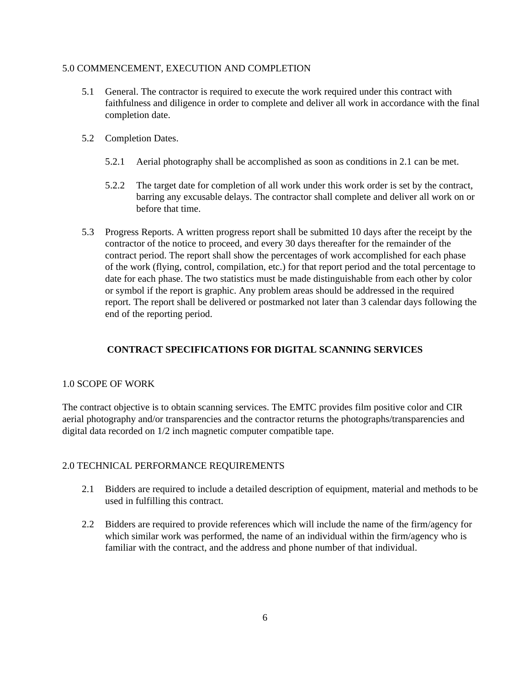#### 5.0 COMMENCEMENT, EXECUTION AND COMPLETION

- 5.1 General. The contractor is required to execute the work required under this contract with faithfulness and diligence in order to complete and deliver all work in accordance with the final completion date.
- 5.2 Completion Dates.
	- 5.2.1 Aerial photography shall be accomplished as soon as conditions in 2.1 can be met.
	- 5.2.2 The target date for completion of all work under this work order is set by the contract, barring any excusable delays. The contractor shall complete and deliver all work on or before that time.
- 5.3 Progress Reports. A written progress report shall be submitted 10 days after the receipt by the contractor of the notice to proceed, and every 30 days thereafter for the remainder of the contract period. The report shall show the percentages of work accomplished for each phase of the work (flying, control, compilation, etc.) for that report period and the total percentage to date for each phase. The two statistics must be made distinguishable from each other by color or symbol if the report is graphic. Any problem areas should be addressed in the required report. The report shall be delivered or postmarked not later than 3 calendar days following the end of the reporting period.

# **CONTRACT SPECIFICATIONS FOR DIGITAL SCANNING SERVICES**

## 1.0 SCOPE OF WORK

The contract objective is to obtain scanning services. The EMTC provides film positive color and CIR aerial photography and/or transparencies and the contractor returns the photographs/transparencies and digital data recorded on 1/2 inch magnetic computer compatible tape.

## 2.0 TECHNICAL PERFORMANCE REQUIREMENTS

- 2.1 Bidders are required to include a detailed description of equipment, material and methods to be used in fulfilling this contract.
- 2.2 Bidders are required to provide references which will include the name of the firm/agency for which similar work was performed, the name of an individual within the firm/agency who is familiar with the contract, and the address and phone number of that individual.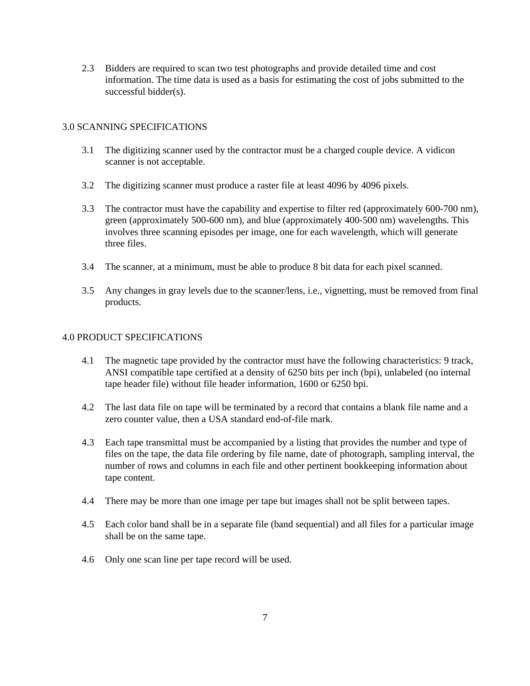2.3 Bidders are required to scan two test photographs and provide detailed time and cost information. The time data is used as a basis for estimating the cost of jobs submitted to the successful bidder(s).

# 3.0 SCANNING SPECIFICATIONS

- 3.1 The digitizing scanner used by the contractor must be a charged couple device. A vidicon scanner is not acceptable.
- 3.2 The digitizing scanner must produce a raster file at least 4096 by 4096 pixels.
- 3.3 The contractor must have the capability and expertise to filter red (approximately 600-700 nm), green (approximately 500-600 nm), and blue (approximately 400-500 nm) wavelengths. This involves three scanning episodes per image, one for each wavelength, which will generate three files.
- 3.4 The scanner, at a minimum, must be able to produce 8 bit data for each pixel scanned.
- 3.5 Any changes in gray levels due to the scanner/lens, i.e., vignetting, must be removed from final products.

## 4.0 PRODUCT SPECIFICATIONS

- 4.1 The magnetic tape provided by the contractor must have the following characteristics: 9 track, ANSI compatible tape certified at a density of 6250 bits per inch (bpi), unlabeled (no internal tape header file) without file header information, 1600 or 6250 bpi.
- 4.2 The last data file on tape will be terminated by a record that contains a blank file name and a zero counter value, then a USA standard end-of-file mark.
- 4.3 Each tape transmittal must be accompanied by a listing that provides the number and type of files on the tape, the data file ordering by file name, date of photograph, sampling interval, the number of rows and columns in each file and other pertinent bookkeeping information about tape content.
- 4.4 There may be more than one image per tape but images shall not be split between tapes.
- 4.5 Each color band shall be in a separate file (band sequential) and all files for a particular image shall be on the same tape.
- 4.6 Only one scan line per tape record will be used.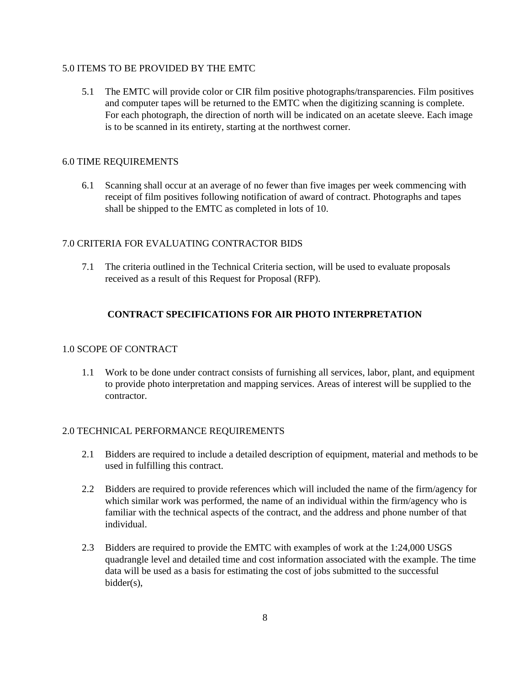#### 5.0 ITEMS TO BE PROVIDED BY THE EMTC

5.1 The EMTC will provide color or CIR film positive photographs/transparencies. Film positives and computer tapes will be returned to the EMTC when the digitizing scanning is complete. For each photograph, the direction of north will be indicated on an acetate sleeve. Each image is to be scanned in its entirety, starting at the northwest corner.

## 6.0 TIME REQUIREMENTS

6.1 Scanning shall occur at an average of no fewer than five images per week commencing with receipt of film positives following notification of award of contract. Photographs and tapes shall be shipped to the EMTC as completed in lots of 10.

## 7.0 CRITERIA FOR EVALUATING CONTRACTOR BIDS

7.1 The criteria outlined in the Technical Criteria section, will be used to evaluate proposals received as a result of this Request for Proposal (RFP).

# **CONTRACT SPECIFICATIONS FOR AIR PHOTO INTERPRETATION**

## 1.0 SCOPE OF CONTRACT

1.1 Work to be done under contract consists of furnishing all services, labor, plant, and equipment to provide photo interpretation and mapping services. Areas of interest will be supplied to the contractor.

#### 2.0 TECHNICAL PERFORMANCE REQUIREMENTS

- 2.1 Bidders are required to include a detailed description of equipment, material and methods to be used in fulfilling this contract.
- 2.2 Bidders are required to provide references which will included the name of the firm/agency for which similar work was performed, the name of an individual within the firm/agency who is familiar with the technical aspects of the contract, and the address and phone number of that individual.
- 2.3 Bidders are required to provide the EMTC with examples of work at the 1:24,000 USGS quadrangle level and detailed time and cost information associated with the example. The time data will be used as a basis for estimating the cost of jobs submitted to the successful bidder(s),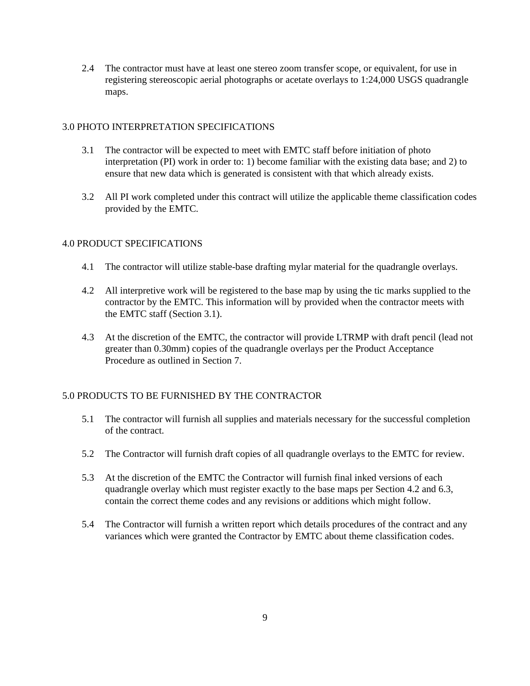2.4 The contractor must have at least one stereo zoom transfer scope, or equivalent, for use in registering stereoscopic aerial photographs or acetate overlays to 1:24,000 USGS quadrangle maps.

# 3.0 PHOTO INTERPRETATION SPECIFICATIONS

- 3.1 The contractor will be expected to meet with EMTC staff before initiation of photo interpretation (PI) work in order to: 1) become familiar with the existing data base; and 2) to ensure that new data which is generated is consistent with that which already exists.
- 3.2 All PI work completed under this contract will utilize the applicable theme classification codes provided by the EMTC.

# 4.0 PRODUCT SPECIFICATIONS

- 4.1 The contractor will utilize stable-base drafting mylar material for the quadrangle overlays.
- 4.2 All interpretive work will be registered to the base map by using the tic marks supplied to the contractor by the EMTC. This information will by provided when the contractor meets with the EMTC staff (Section 3.1).
- 4.3 At the discretion of the EMTC, the contractor will provide LTRMP with draft pencil (lead not greater than 0.30mm) copies of the quadrangle overlays per the Product Acceptance Procedure as outlined in Section 7.

# 5.0 PRODUCTS TO BE FURNISHED BY THE CONTRACTOR

- 5.1 The contractor will furnish all supplies and materials necessary for the successful completion of the contract.
- 5.2 The Contractor will furnish draft copies of all quadrangle overlays to the EMTC for review.
- 5.3 At the discretion of the EMTC the Contractor will furnish final inked versions of each quadrangle overlay which must register exactly to the base maps per Section 4.2 and 6.3, contain the correct theme codes and any revisions or additions which might follow.
- 5.4 The Contractor will furnish a written report which details procedures of the contract and any variances which were granted the Contractor by EMTC about theme classification codes.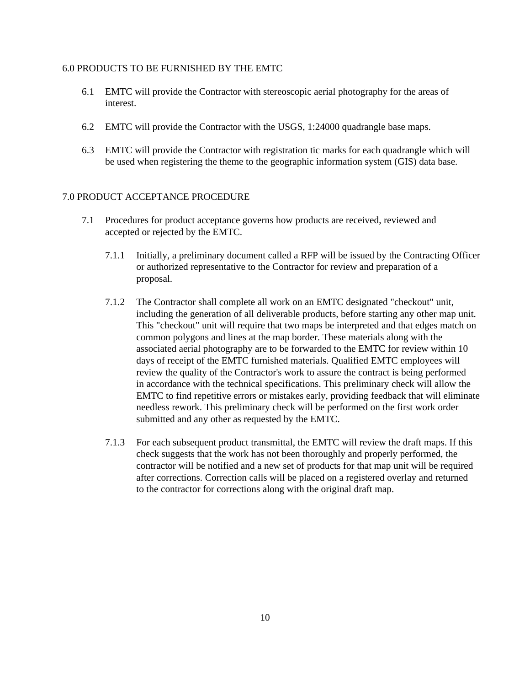#### 6.0 PRODUCTS TO BE FURNISHED BY THE EMTC

- 6.1 EMTC will provide the Contractor with stereoscopic aerial photography for the areas of interest.
- 6.2 EMTC will provide the Contractor with the USGS, 1:24000 quadrangle base maps.
- 6.3 EMTC will provide the Contractor with registration tic marks for each quadrangle which will be used when registering the theme to the geographic information system (GIS) data base.

#### 7.0 PRODUCT ACCEPTANCE PROCEDURE

- 7.1 Procedures for product acceptance governs how products are received, reviewed and accepted or rejected by the EMTC.
	- 7.1.1 Initially, a preliminary document called a RFP will be issued by the Contracting Officer or authorized representative to the Contractor for review and preparation of a proposal.
	- 7.1.2 The Contractor shall complete all work on an EMTC designated "checkout" unit, including the generation of all deliverable products, before starting any other map unit. This "checkout" unit will require that two maps be interpreted and that edges match on common polygons and lines at the map border. These materials along with the associated aerial photography are to be forwarded to the EMTC for review within 10 days of receipt of the EMTC furnished materials. Qualified EMTC employees will review the quality of the Contractor's work to assure the contract is being performed in accordance with the technical specifications. This preliminary check will allow the EMTC to find repetitive errors or mistakes early, providing feedback that will eliminate needless rework. This preliminary check will be performed on the first work order submitted and any other as requested by the EMTC.
	- 7.1.3 For each subsequent product transmittal, the EMTC will review the draft maps. If this check suggests that the work has not been thoroughly and properly performed, the contractor will be notified and a new set of products for that map unit will be required after corrections. Correction calls will be placed on a registered overlay and returned to the contractor for corrections along with the original draft map.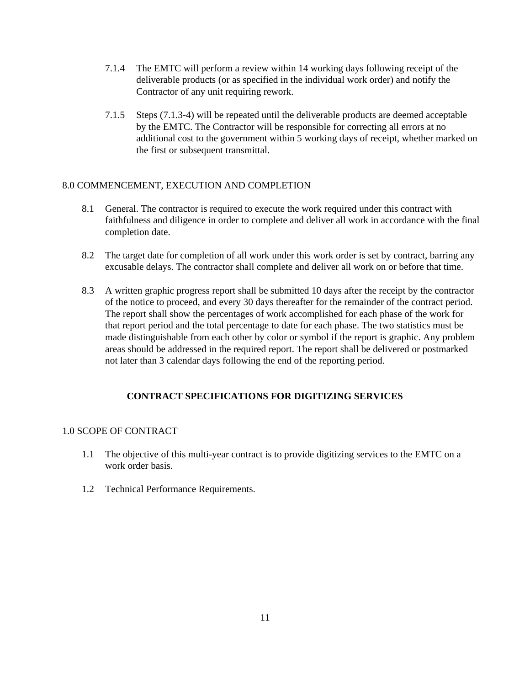- 7.1.4 The EMTC will perform a review within 14 working days following receipt of the deliverable products (or as specified in the individual work order) and notify the Contractor of any unit requiring rework.
- 7.1.5 Steps (7.1.3-4) will be repeated until the deliverable products are deemed acceptable by the EMTC. The Contractor will be responsible for correcting all errors at no additional cost to the government within 5 working days of receipt, whether marked on the first or subsequent transmittal.

## 8.0 COMMENCEMENT, EXECUTION AND COMPLETION

- 8.1 General. The contractor is required to execute the work required under this contract with faithfulness and diligence in order to complete and deliver all work in accordance with the final completion date.
- 8.2 The target date for completion of all work under this work order is set by contract, barring any excusable delays. The contractor shall complete and deliver all work on or before that time.
- 8.3 A written graphic progress report shall be submitted 10 days after the receipt by the contractor of the notice to proceed, and every 30 days thereafter for the remainder of the contract period. The report shall show the percentages of work accomplished for each phase of the work for that report period and the total percentage to date for each phase. The two statistics must be made distinguishable from each other by color or symbol if the report is graphic. Any problem areas should be addressed in the required report. The report shall be delivered or postmarked not later than 3 calendar days following the end of the reporting period.

# **CONTRACT SPECIFICATIONS FOR DIGITIZING SERVICES**

## 1.0 SCOPE OF CONTRACT

- 1.1 The objective of this multi-year contract is to provide digitizing services to the EMTC on a work order basis.
- 1.2 Technical Performance Requirements.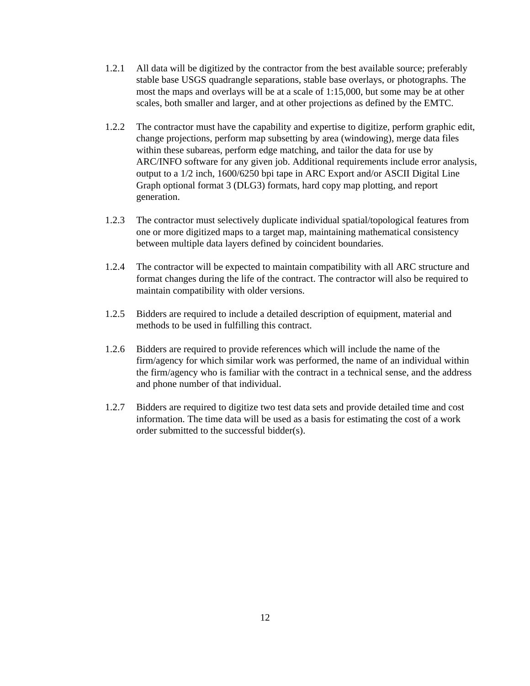- 1.2.1 All data will be digitized by the contractor from the best available source; preferably stable base USGS quadrangle separations, stable base overlays, or photographs. The most the maps and overlays will be at a scale of 1:15,000, but some may be at other scales, both smaller and larger, and at other projections as defined by the EMTC.
- 1.2.2 The contractor must have the capability and expertise to digitize, perform graphic edit, change projections, perform map subsetting by area (windowing), merge data files within these subareas, perform edge matching, and tailor the data for use by ARC/INFO software for any given job. Additional requirements include error analysis, output to a 1/2 inch, 1600/6250 bpi tape in ARC Export and/or ASCII Digital Line Graph optional format 3 (DLG3) formats, hard copy map plotting, and report generation.
- 1.2.3 The contractor must selectively duplicate individual spatial/topological features from one or more digitized maps to a target map, maintaining mathematical consistency between multiple data layers defined by coincident boundaries.
- 1.2.4 The contractor will be expected to maintain compatibility with all ARC structure and format changes during the life of the contract. The contractor will also be required to maintain compatibility with older versions.
- 1.2.5 Bidders are required to include a detailed description of equipment, material and methods to be used in fulfilling this contract.
- 1.2.6 Bidders are required to provide references which will include the name of the firm/agency for which similar work was performed, the name of an individual within the firm/agency who is familiar with the contract in a technical sense, and the address and phone number of that individual.
- 1.2.7 Bidders are required to digitize two test data sets and provide detailed time and cost information. The time data will be used as a basis for estimating the cost of a work order submitted to the successful bidder(s).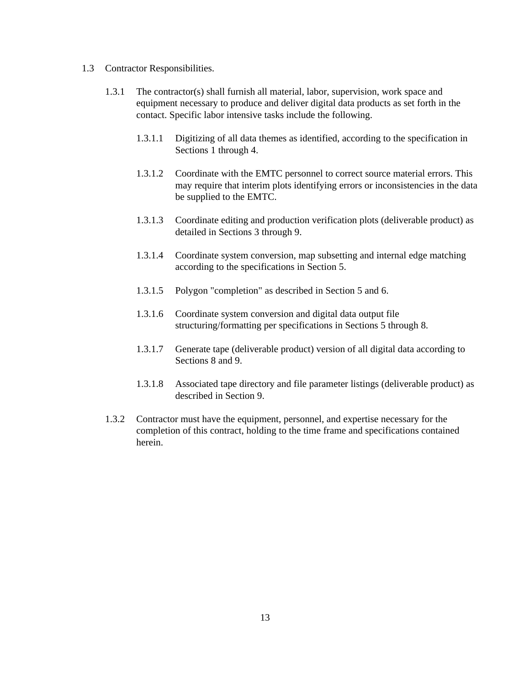- 1.3 Contractor Responsibilities.
	- 1.3.1 The contractor(s) shall furnish all material, labor, supervision, work space and equipment necessary to produce and deliver digital data products as set forth in the contact. Specific labor intensive tasks include the following.
		- 1.3.1.1 Digitizing of all data themes as identified, according to the specification in Sections 1 through 4.
		- 1.3.1.2 Coordinate with the EMTC personnel to correct source material errors. This may require that interim plots identifying errors or inconsistencies in the data be supplied to the EMTC.
		- 1.3.1.3 Coordinate editing and production verification plots (deliverable product) as detailed in Sections 3 through 9.
		- 1.3.1.4 Coordinate system conversion, map subsetting and internal edge matching according to the specifications in Section 5.
		- 1.3.1.5 Polygon "completion" as described in Section 5 and 6.
		- 1.3.1.6 Coordinate system conversion and digital data output file structuring/formatting per specifications in Sections 5 through 8.
		- 1.3.1.7 Generate tape (deliverable product) version of all digital data according to Sections 8 and 9.
		- 1.3.1.8 Associated tape directory and file parameter listings (deliverable product) as described in Section 9.
	- 1.3.2 Contractor must have the equipment, personnel, and expertise necessary for the completion of this contract, holding to the time frame and specifications contained herein.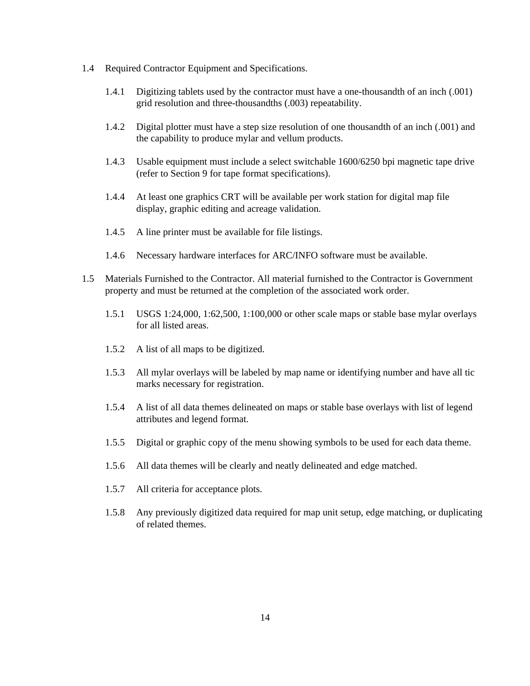- 1.4 Required Contractor Equipment and Specifications.
	- 1.4.1 Digitizing tablets used by the contractor must have a one-thousandth of an inch (.001) grid resolution and three-thousandths (.003) repeatability.
	- 1.4.2 Digital plotter must have a step size resolution of one thousandth of an inch (.001) and the capability to produce mylar and vellum products.
	- 1.4.3 Usable equipment must include a select switchable 1600/6250 bpi magnetic tape drive (refer to Section 9 for tape format specifications).
	- 1.4.4 At least one graphics CRT will be available per work station for digital map file display, graphic editing and acreage validation.
	- 1.4.5 A line printer must be available for file listings.
	- 1.4.6 Necessary hardware interfaces for ARC/INFO software must be available.
- 1.5 Materials Furnished to the Contractor. All material furnished to the Contractor is Government property and must be returned at the completion of the associated work order.
	- 1.5.1 USGS 1:24,000, 1:62,500, 1:100,000 or other scale maps or stable base mylar overlays for all listed areas.
	- 1.5.2 A list of all maps to be digitized.
	- 1.5.3 All mylar overlays will be labeled by map name or identifying number and have all tic marks necessary for registration.
	- 1.5.4 A list of all data themes delineated on maps or stable base overlays with list of legend attributes and legend format.
	- 1.5.5 Digital or graphic copy of the menu showing symbols to be used for each data theme.
	- 1.5.6 All data themes will be clearly and neatly delineated and edge matched.
	- 1.5.7 All criteria for acceptance plots.
	- 1.5.8 Any previously digitized data required for map unit setup, edge matching, or duplicating of related themes.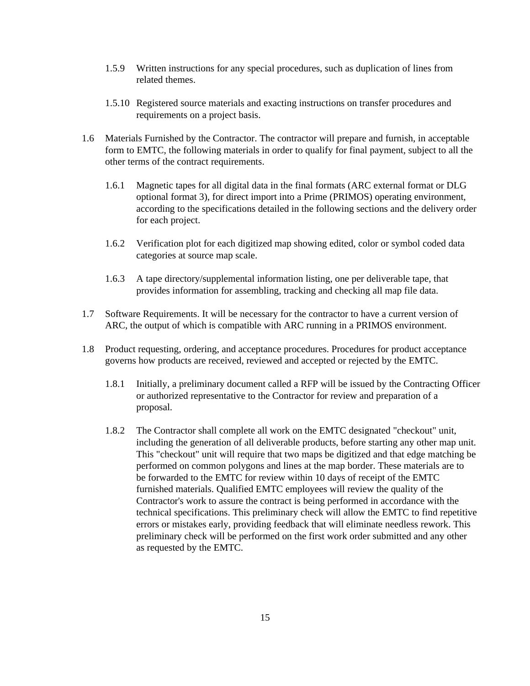- 1.5.9 Written instructions for any special procedures, such as duplication of lines from related themes.
- 1.5.10 Registered source materials and exacting instructions on transfer procedures and requirements on a project basis.
- 1.6 Materials Furnished by the Contractor. The contractor will prepare and furnish, in acceptable form to EMTC, the following materials in order to qualify for final payment, subject to all the other terms of the contract requirements.
	- 1.6.1 Magnetic tapes for all digital data in the final formats (ARC external format or DLG optional format 3), for direct import into a Prime (PRIMOS) operating environment, according to the specifications detailed in the following sections and the delivery order for each project.
	- 1.6.2 Verification plot for each digitized map showing edited, color or symbol coded data categories at source map scale.
	- 1.6.3 A tape directory/supplemental information listing, one per deliverable tape, that provides information for assembling, tracking and checking all map file data.
- 1.7 Software Requirements. It will be necessary for the contractor to have a current version of ARC, the output of which is compatible with ARC running in a PRIMOS environment.
- 1.8 Product requesting, ordering, and acceptance procedures. Procedures for product acceptance governs how products are received, reviewed and accepted or rejected by the EMTC.
	- 1.8.1 Initially, a preliminary document called a RFP will be issued by the Contracting Officer or authorized representative to the Contractor for review and preparation of a proposal.
	- 1.8.2 The Contractor shall complete all work on the EMTC designated "checkout" unit, including the generation of all deliverable products, before starting any other map unit. This "checkout" unit will require that two maps be digitized and that edge matching be performed on common polygons and lines at the map border. These materials are to be forwarded to the EMTC for review within 10 days of receipt of the EMTC furnished materials. Qualified EMTC employees will review the quality of the Contractor's work to assure the contract is being performed in accordance with the technical specifications. This preliminary check will allow the EMTC to find repetitive errors or mistakes early, providing feedback that will eliminate needless rework. This preliminary check will be performed on the first work order submitted and any other as requested by the EMTC.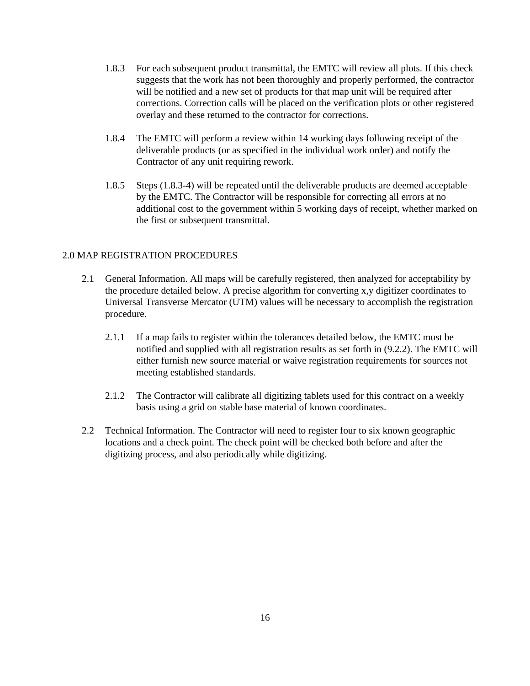- 1.8.3 For each subsequent product transmittal, the EMTC will review all plots. If this check suggests that the work has not been thoroughly and properly performed, the contractor will be notified and a new set of products for that map unit will be required after corrections. Correction calls will be placed on the verification plots or other registered overlay and these returned to the contractor for corrections.
- 1.8.4 The EMTC will perform a review within 14 working days following receipt of the deliverable products (or as specified in the individual work order) and notify the Contractor of any unit requiring rework.
- 1.8.5 Steps (1.8.3-4) will be repeated until the deliverable products are deemed acceptable by the EMTC. The Contractor will be responsible for correcting all errors at no additional cost to the government within 5 working days of receipt, whether marked on the first or subsequent transmittal.

#### 2.0 MAP REGISTRATION PROCEDURES

- 2.1 General Information. All maps will be carefully registered, then analyzed for acceptability by the procedure detailed below. A precise algorithm for converting x,y digitizer coordinates to Universal Transverse Mercator (UTM) values will be necessary to accomplish the registration procedure.
	- 2.1.1 If a map fails to register within the tolerances detailed below, the EMTC must be notified and supplied with all registration results as set forth in (9.2.2). The EMTC will either furnish new source material or waive registration requirements for sources not meeting established standards.
	- 2.1.2 The Contractor will calibrate all digitizing tablets used for this contract on a weekly basis using a grid on stable base material of known coordinates.
- 2.2 Technical Information. The Contractor will need to register four to six known geographic locations and a check point. The check point will be checked both before and after the digitizing process, and also periodically while digitizing.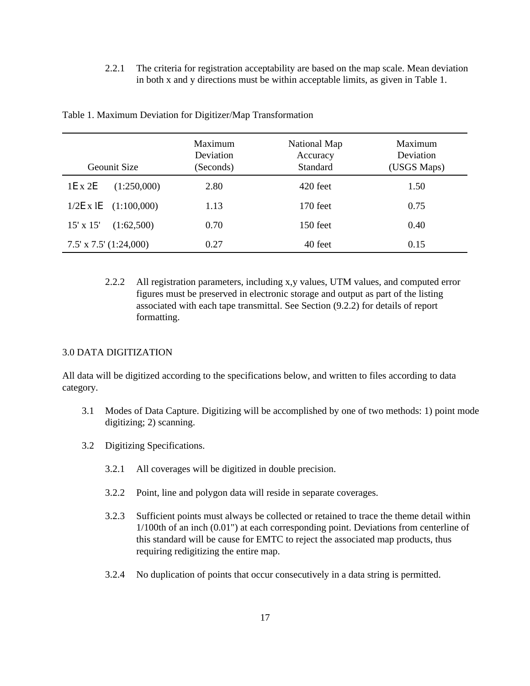2.2.1 The criteria for registration acceptability are based on the map scale. Mean deviation in both x and y directions must be within acceptable limits, as given in Table 1.

| Geounit Size                    | Maximum<br>Deviation<br>(Seconds) | National Map<br>Accuracy<br><b>Standard</b> | Maximum<br>Deviation<br>(USGS Maps) |
|---------------------------------|-----------------------------------|---------------------------------------------|-------------------------------------|
| 1E x 2E<br>(1:250,000)          | 2.80                              | 420 feet                                    | 1.50                                |
| $1/2E \times 1E$<br>(1:100,000) | 1.13                              | $170$ feet                                  | 0.75                                |
| $15' \times 15'$<br>(1:62,500)  | 0.70                              | 150 feet                                    | 0.40                                |
| $7.5'$ x $7.5'$ $(1:24,000)$    | 0.27                              | 40 feet                                     | 0.15                                |

Table 1. Maximum Deviation for Digitizer/Map Transformation

2.2.2 All registration parameters, including x,y values, UTM values, and computed error figures must be preserved in electronic storage and output as part of the listing associated with each tape transmittal. See Section (9.2.2) for details of report formatting.

# 3.0 DATA DIGITIZATION

All data will be digitized according to the specifications below, and written to files according to data category.

- 3.1 Modes of Data Capture. Digitizing will be accomplished by one of two methods: 1) point mode digitizing; 2) scanning.
- 3.2 Digitizing Specifications.
	- 3.2.1 All coverages will be digitized in double precision.
	- 3.2.2 Point, line and polygon data will reside in separate coverages.
	- 3.2.3 Sufficient points must always be collected or retained to trace the theme detail within 1/100th of an inch (0.01") at each corresponding point. Deviations from centerline of this standard will be cause for EMTC to reject the associated map products, thus requiring redigitizing the entire map.
	- 3.2.4 No duplication of points that occur consecutively in a data string is permitted.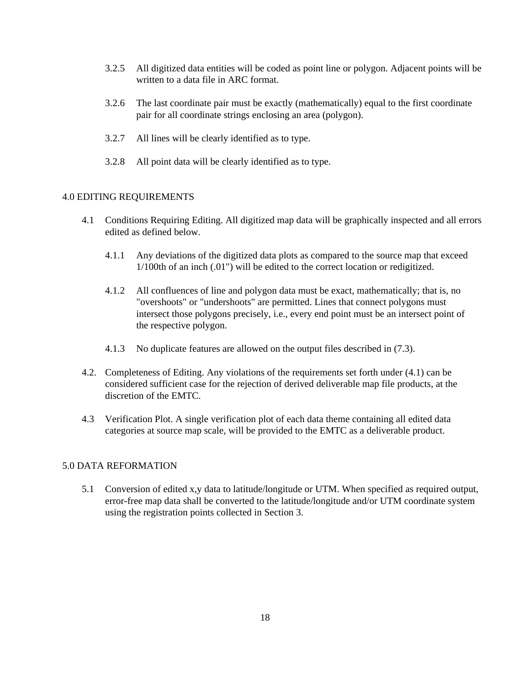- 3.2.5 All digitized data entities will be coded as point line or polygon. Adjacent points will be written to a data file in ARC format.
- 3.2.6 The last coordinate pair must be exactly (mathematically) equal to the first coordinate pair for all coordinate strings enclosing an area (polygon).
- 3.2.7 All lines will be clearly identified as to type.
- 3.2.8 All point data will be clearly identified as to type.

## 4.0 EDITING REQUIREMENTS

- 4.1 Conditions Requiring Editing. All digitized map data will be graphically inspected and all errors edited as defined below.
	- 4.1.1 Any deviations of the digitized data plots as compared to the source map that exceed 1/100th of an inch (.01") will be edited to the correct location or redigitized.
	- 4.1.2 All confluences of line and polygon data must be exact, mathematically; that is, no "overshoots" or "undershoots" are permitted. Lines that connect polygons must intersect those polygons precisely, i.e., every end point must be an intersect point of the respective polygon.
	- 4.1.3 No duplicate features are allowed on the output files described in (7.3).
- 4.2. Completeness of Editing. Any violations of the requirements set forth under (4.1) can be considered sufficient case for the rejection of derived deliverable map file products, at the discretion of the EMTC.
- 4.3 Verification Plot. A single verification plot of each data theme containing all edited data categories at source map scale, will be provided to the EMTC as a deliverable product.

#### 5.0 DATA REFORMATION

5.1 Conversion of edited x,y data to latitude/longitude or UTM. When specified as required output, error-free map data shall be converted to the latitude/longitude and/or UTM coordinate system using the registration points collected in Section 3.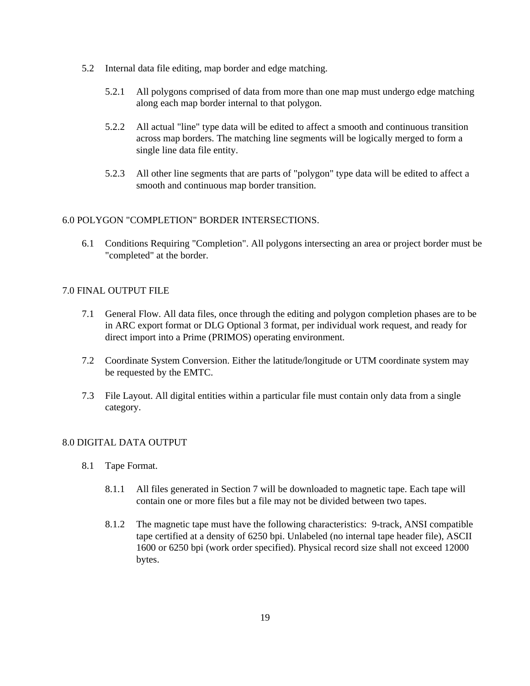- 5.2 Internal data file editing, map border and edge matching.
	- 5.2.1 All polygons comprised of data from more than one map must undergo edge matching along each map border internal to that polygon.
	- 5.2.2 All actual "line" type data will be edited to affect a smooth and continuous transition across map borders. The matching line segments will be logically merged to form a single line data file entity.
	- 5.2.3 All other line segments that are parts of "polygon" type data will be edited to affect a smooth and continuous map border transition.

## 6.0 POLYGON "COMPLETION" BORDER INTERSECTIONS.

6.1 Conditions Requiring "Completion". All polygons intersecting an area or project border must be "completed" at the border.

# 7.0 FINAL OUTPUT FILE

- 7.1 General Flow. All data files, once through the editing and polygon completion phases are to be in ARC export format or DLG Optional 3 format, per individual work request, and ready for direct import into a Prime (PRIMOS) operating environment.
- 7.2 Coordinate System Conversion. Either the latitude/longitude or UTM coordinate system may be requested by the EMTC.
- 7.3 File Layout. All digital entities within a particular file must contain only data from a single category.

## 8.0 DIGITAL DATA OUTPUT

- 8.1 Tape Format.
	- 8.1.1 All files generated in Section 7 will be downloaded to magnetic tape. Each tape will contain one or more files but a file may not be divided between two tapes.
	- 8.1.2 The magnetic tape must have the following characteristics: 9-track, ANSI compatible tape certified at a density of 6250 bpi. Unlabeled (no internal tape header file), ASCII 1600 or 6250 bpi (work order specified). Physical record size shall not exceed 12000 bytes.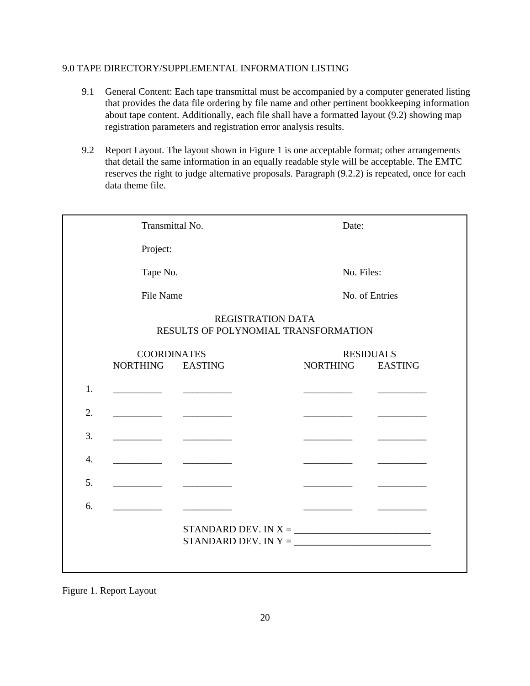# 9.0 TAPE DIRECTORY/SUPPLEMENTAL INFORMATION LISTING

- 9.1 General Content: Each tape transmittal must be accompanied by a computer generated listing that provides the data file ordering by file name and other pertinent bookkeeping information about tape content. Additionally, each file shall have a formatted layout (9.2) showing map registration parameters and registration error analysis results.
- 9.2 Report Layout. The layout shown in Figure 1 is one acceptable format; other arrangements that detail the same information in an equally readable style will be acceptable. The EMTC reserves the right to judge alternative proposals. Paragraph (9.2.2) is repeated, once for each data theme file.

| Transmittal No.                                                                                                                                                                                                                                                                                                                                                                                                                                                                                       |                                                | Date:                                         |                                                                                                                                                                                                                                      |  |  |
|-------------------------------------------------------------------------------------------------------------------------------------------------------------------------------------------------------------------------------------------------------------------------------------------------------------------------------------------------------------------------------------------------------------------------------------------------------------------------------------------------------|------------------------------------------------|-----------------------------------------------|--------------------------------------------------------------------------------------------------------------------------------------------------------------------------------------------------------------------------------------|--|--|
| Project:                                                                                                                                                                                                                                                                                                                                                                                                                                                                                              |                                                |                                               |                                                                                                                                                                                                                                      |  |  |
|                                                                                                                                                                                                                                                                                                                                                                                                                                                                                                       | Tape No.                                       |                                               | No. Files:                                                                                                                                                                                                                           |  |  |
|                                                                                                                                                                                                                                                                                                                                                                                                                                                                                                       | File Name                                      |                                               | No. of Entries                                                                                                                                                                                                                       |  |  |
|                                                                                                                                                                                                                                                                                                                                                                                                                                                                                                       | REGISTRATION DATA                              | RESULTS OF POLYNOMIAL TRANSFORMATION          |                                                                                                                                                                                                                                      |  |  |
|                                                                                                                                                                                                                                                                                                                                                                                                                                                                                                       | <b>COORDINATES</b>                             |                                               | <b>RESIDUALS</b>                                                                                                                                                                                                                     |  |  |
| NORTHING EASTING                                                                                                                                                                                                                                                                                                                                                                                                                                                                                      |                                                | NORTHING                                      | <b>EASTING</b>                                                                                                                                                                                                                       |  |  |
| 1.                                                                                                                                                                                                                                                                                                                                                                                                                                                                                                    |                                                |                                               | <u>and the company of the company of the company of the company of the company of the company of the company of the company of the company of the company of the company of the company of the company of the company of the com</u> |  |  |
| 2.<br><u> 1990 - Jan Jawa</u>                                                                                                                                                                                                                                                                                                                                                                                                                                                                         | <u>and the state</u>                           |                                               |                                                                                                                                                                                                                                      |  |  |
| 3.<br>$\begin{tabular}{c} \multicolumn{1}{c} {\textbf{1}} & \multicolumn{1}{c} {\textbf{1}} & \multicolumn{1}{c} {\textbf{1}} \\ \multicolumn{1}{c} {\textbf{1}} & \multicolumn{1}{c} {\textbf{1}} & \multicolumn{1}{c} {\textbf{1}} \\ \multicolumn{1}{c} {\textbf{1}} & \multicolumn{1}{c} {\textbf{1}} & \multicolumn{1}{c} {\textbf{1}} \\ \multicolumn{1}{c} {\textbf{1}} & \multicolumn{1}{c} {\textbf{1}} & \multicolumn{1}{c} {\textbf{1}} \\ \multicolumn{1}{c} {\textbf{1}} & \multicolumn$ | <u>and the state of the state</u>              |                                               |                                                                                                                                                                                                                                      |  |  |
| 4.<br>$\overline{a}$ . The contract of $\overline{a}$                                                                                                                                                                                                                                                                                                                                                                                                                                                 | <u>and the state of the state</u>              |                                               |                                                                                                                                                                                                                                      |  |  |
| 5.<br><u> 1990 - Johann Barnett, f</u>                                                                                                                                                                                                                                                                                                                                                                                                                                                                | <u> The Communication of the Communication</u> |                                               |                                                                                                                                                                                                                                      |  |  |
| 6.                                                                                                                                                                                                                                                                                                                                                                                                                                                                                                    |                                                |                                               |                                                                                                                                                                                                                                      |  |  |
|                                                                                                                                                                                                                                                                                                                                                                                                                                                                                                       |                                                | STANDARD DEV. IN Y = $\_\_\_\_\_\_\_\_\_\_\_$ |                                                                                                                                                                                                                                      |  |  |

Figure 1. Report Layout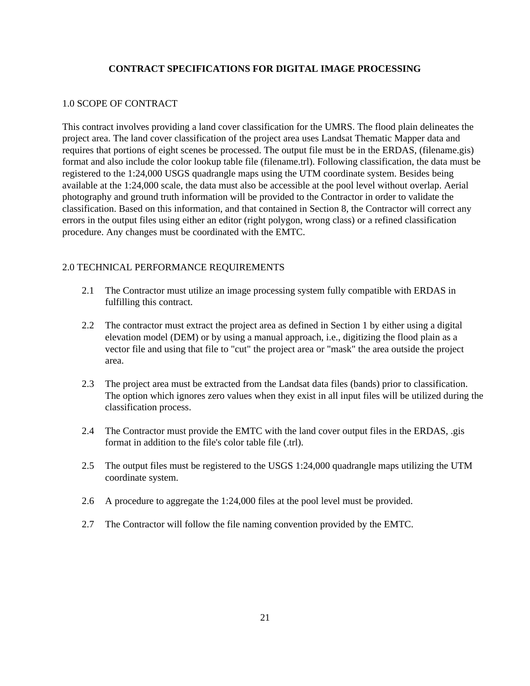# **CONTRACT SPECIFICATIONS FOR DIGITAL IMAGE PROCESSING**

#### 1.0 SCOPE OF CONTRACT

This contract involves providing a land cover classification for the UMRS. The flood plain delineates the project area. The land cover classification of the project area uses Landsat Thematic Mapper data and requires that portions of eight scenes be processed. The output file must be in the ERDAS, (filename.gis) format and also include the color lookup table file (filename.trl). Following classification, the data must be registered to the 1:24,000 USGS quadrangle maps using the UTM coordinate system. Besides being available at the 1:24,000 scale, the data must also be accessible at the pool level without overlap. Aerial photography and ground truth information will be provided to the Contractor in order to validate the classification. Based on this information, and that contained in Section 8, the Contractor will correct any errors in the output files using either an editor (right polygon, wrong class) or a refined classification procedure. Any changes must be coordinated with the EMTC.

## 2.0 TECHNICAL PERFORMANCE REQUIREMENTS

- 2.1 The Contractor must utilize an image processing system fully compatible with ERDAS in fulfilling this contract.
- 2.2 The contractor must extract the project area as defined in Section 1 by either using a digital elevation model (DEM) or by using a manual approach, i.e., digitizing the flood plain as a vector file and using that file to "cut" the project area or "mask" the area outside the project area.
- 2.3 The project area must be extracted from the Landsat data files (bands) prior to classification. The option which ignores zero values when they exist in all input files will be utilized during the classification process.
- 2.4 The Contractor must provide the EMTC with the land cover output files in the ERDAS, .gis format in addition to the file's color table file (.trl).
- 2.5 The output files must be registered to the USGS 1:24,000 quadrangle maps utilizing the UTM coordinate system.
- 2.6 A procedure to aggregate the 1:24,000 files at the pool level must be provided.
- 2.7 The Contractor will follow the file naming convention provided by the EMTC.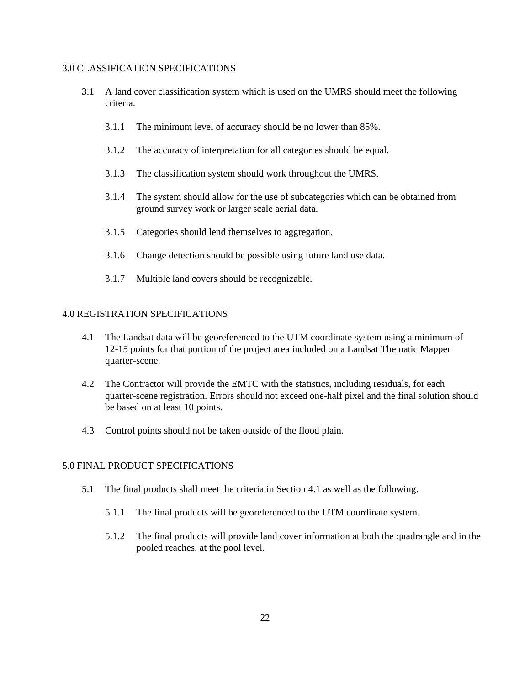#### 3.0 CLASSIFICATION SPECIFICATIONS

- 3.1 A land cover classification system which is used on the UMRS should meet the following criteria.
	- 3.1.1 The minimum level of accuracy should be no lower than 85%.
	- 3.1.2 The accuracy of interpretation for all categories should be equal.
	- 3.1.3 The classification system should work throughout the UMRS.
	- 3.1.4 The system should allow for the use of subcategories which can be obtained from ground survey work or larger scale aerial data.
	- 3.1.5 Categories should lend themselves to aggregation.
	- 3.1.6 Change detection should be possible using future land use data.
	- 3.1.7 Multiple land covers should be recognizable.

## 4.0 REGISTRATION SPECIFICATIONS

- 4.1 The Landsat data will be georeferenced to the UTM coordinate system using a minimum of 12-15 points for that portion of the project area included on a Landsat Thematic Mapper quarter-scene.
- 4.2 The Contractor will provide the EMTC with the statistics, including residuals, for each quarter-scene registration. Errors should not exceed one-half pixel and the final solution should be based on at least 10 points.
- 4.3 Control points should not be taken outside of the flood plain.

## 5.0 FINAL PRODUCT SPECIFICATIONS

- 5.1 The final products shall meet the criteria in Section 4.1 as well as the following.
	- 5.1.1 The final products will be georeferenced to the UTM coordinate system.
	- 5.1.2 The final products will provide land cover information at both the quadrangle and in the pooled reaches, at the pool level.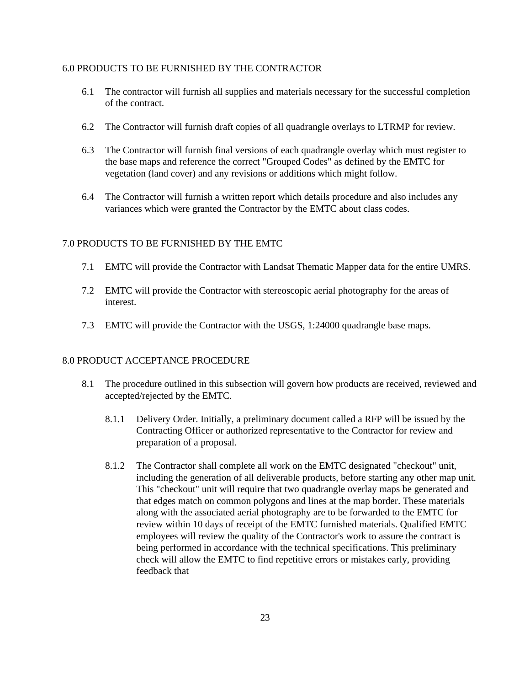#### 6.0 PRODUCTS TO BE FURNISHED BY THE CONTRACTOR

- 6.1 The contractor will furnish all supplies and materials necessary for the successful completion of the contract.
- 6.2 The Contractor will furnish draft copies of all quadrangle overlays to LTRMP for review.
- 6.3 The Contractor will furnish final versions of each quadrangle overlay which must register to the base maps and reference the correct "Grouped Codes" as defined by the EMTC for vegetation (land cover) and any revisions or additions which might follow.
- 6.4 The Contractor will furnish a written report which details procedure and also includes any variances which were granted the Contractor by the EMTC about class codes.

#### 7.0 PRODUCTS TO BE FURNISHED BY THE EMTC

- 7.1 EMTC will provide the Contractor with Landsat Thematic Mapper data for the entire UMRS.
- 7.2 EMTC will provide the Contractor with stereoscopic aerial photography for the areas of interest.
- 7.3 EMTC will provide the Contractor with the USGS, 1:24000 quadrangle base maps.

#### 8.0 PRODUCT ACCEPTANCE PROCEDURE

- 8.1 The procedure outlined in this subsection will govern how products are received, reviewed and accepted/rejected by the EMTC.
	- 8.1.1 Delivery Order. Initially, a preliminary document called a RFP will be issued by the Contracting Officer or authorized representative to the Contractor for review and preparation of a proposal.
	- 8.1.2 The Contractor shall complete all work on the EMTC designated "checkout" unit, including the generation of all deliverable products, before starting any other map unit. This "checkout" unit will require that two quadrangle overlay maps be generated and that edges match on common polygons and lines at the map border. These materials along with the associated aerial photography are to be forwarded to the EMTC for review within 10 days of receipt of the EMTC furnished materials. Qualified EMTC employees will review the quality of the Contractor's work to assure the contract is being performed in accordance with the technical specifications. This preliminary check will allow the EMTC to find repetitive errors or mistakes early, providing feedback that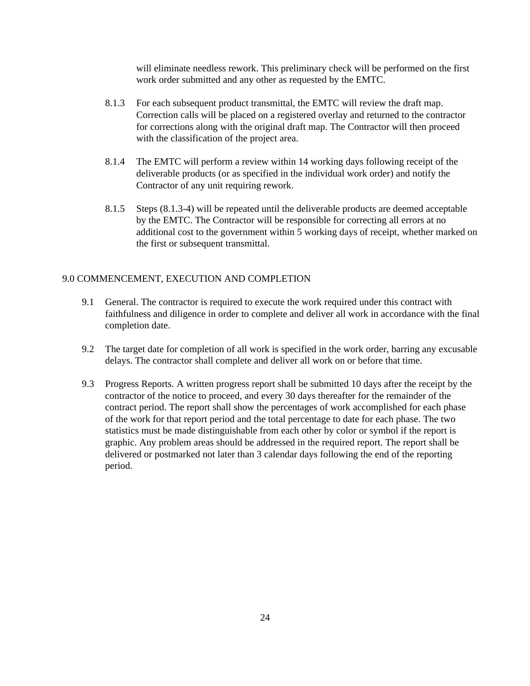will eliminate needless rework. This preliminary check will be performed on the first work order submitted and any other as requested by the EMTC.

- 8.1.3 For each subsequent product transmittal, the EMTC will review the draft map. Correction calls will be placed on a registered overlay and returned to the contractor for corrections along with the original draft map. The Contractor will then proceed with the classification of the project area.
- 8.1.4 The EMTC will perform a review within 14 working days following receipt of the deliverable products (or as specified in the individual work order) and notify the Contractor of any unit requiring rework.
- 8.1.5 Steps (8.1.3-4) will be repeated until the deliverable products are deemed acceptable by the EMTC. The Contractor will be responsible for correcting all errors at no additional cost to the government within 5 working days of receipt, whether marked on the first or subsequent transmittal.

## 9.0 COMMENCEMENT, EXECUTION AND COMPLETION

- 9.1 General. The contractor is required to execute the work required under this contract with faithfulness and diligence in order to complete and deliver all work in accordance with the final completion date.
- 9.2 The target date for completion of all work is specified in the work order, barring any excusable delays. The contractor shall complete and deliver all work on or before that time.
- 9.3 Progress Reports. A written progress report shall be submitted 10 days after the receipt by the contractor of the notice to proceed, and every 30 days thereafter for the remainder of the contract period. The report shall show the percentages of work accomplished for each phase of the work for that report period and the total percentage to date for each phase. The two statistics must be made distinguishable from each other by color or symbol if the report is graphic. Any problem areas should be addressed in the required report. The report shall be delivered or postmarked not later than 3 calendar days following the end of the reporting period.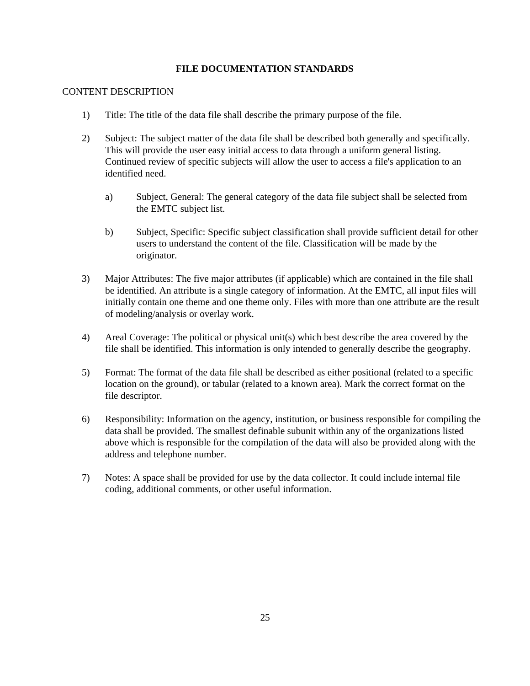# **FILE DOCUMENTATION STANDARDS**

#### CONTENT DESCRIPTION

- 1) Title: The title of the data file shall describe the primary purpose of the file.
- 2) Subject: The subject matter of the data file shall be described both generally and specifically. This will provide the user easy initial access to data through a uniform general listing. Continued review of specific subjects will allow the user to access a file's application to an identified need.
	- a) Subject, General: The general category of the data file subject shall be selected from the EMTC subject list.
	- b) Subject, Specific: Specific subject classification shall provide sufficient detail for other users to understand the content of the file. Classification will be made by the originator.
- 3) Major Attributes: The five major attributes (if applicable) which are contained in the file shall be identified. An attribute is a single category of information. At the EMTC, all input files will initially contain one theme and one theme only. Files with more than one attribute are the result of modeling/analysis or overlay work.
- 4) Areal Coverage: The political or physical unit(s) which best describe the area covered by the file shall be identified. This information is only intended to generally describe the geography.
- 5) Format: The format of the data file shall be described as either positional (related to a specific location on the ground), or tabular (related to a known area). Mark the correct format on the file descriptor.
- 6) Responsibility: Information on the agency, institution, or business responsible for compiling the data shall be provided. The smallest definable subunit within any of the organizations listed above which is responsible for the compilation of the data will also be provided along with the address and telephone number.
- 7) Notes: A space shall be provided for use by the data collector. It could include internal file coding, additional comments, or other useful information.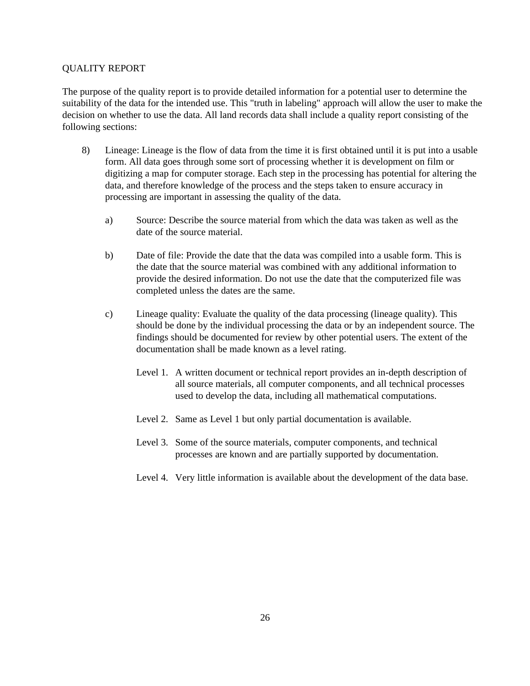#### QUALITY REPORT

The purpose of the quality report is to provide detailed information for a potential user to determine the suitability of the data for the intended use. This "truth in labeling" approach will allow the user to make the decision on whether to use the data. All land records data shall include a quality report consisting of the following sections:

- 8) Lineage: Lineage is the flow of data from the time it is first obtained until it is put into a usable form. All data goes through some sort of processing whether it is development on film or digitizing a map for computer storage. Each step in the processing has potential for altering the data, and therefore knowledge of the process and the steps taken to ensure accuracy in processing are important in assessing the quality of the data.
	- a) Source: Describe the source material from which the data was taken as well as the date of the source material.
	- b) Date of file: Provide the date that the data was compiled into a usable form. This is the date that the source material was combined with any additional information to provide the desired information. Do not use the date that the computerized file was completed unless the dates are the same.
	- c) Lineage quality: Evaluate the quality of the data processing (lineage quality). This should be done by the individual processing the data or by an independent source. The findings should be documented for review by other potential users. The extent of the documentation shall be made known as a level rating.
		- Level 1. A written document or technical report provides an in-depth description of all source materials, all computer components, and all technical processes used to develop the data, including all mathematical computations.
		- Level 2. Same as Level 1 but only partial documentation is available.
		- Level 3. Some of the source materials, computer components, and technical processes are known and are partially supported by documentation.
		- Level 4. Very little information is available about the development of the data base.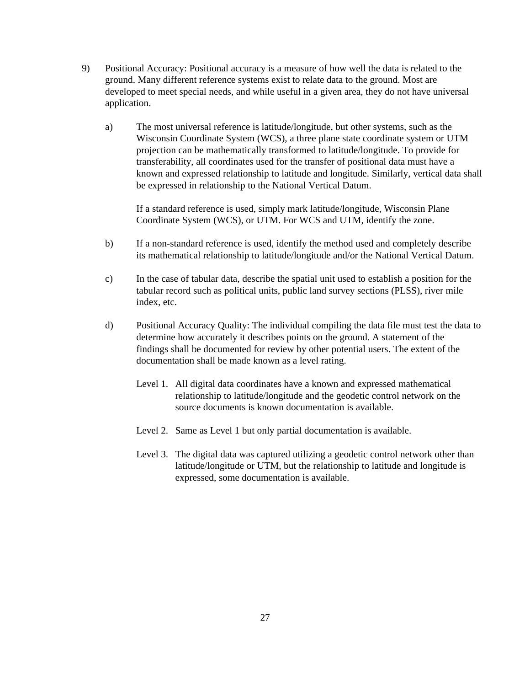- 9) Positional Accuracy: Positional accuracy is a measure of how well the data is related to the ground. Many different reference systems exist to relate data to the ground. Most are developed to meet special needs, and while useful in a given area, they do not have universal application.
	- a) The most universal reference is latitude/longitude, but other systems, such as the Wisconsin Coordinate System (WCS), a three plane state coordinate system or UTM projection can be mathematically transformed to latitude/longitude. To provide for transferability, all coordinates used for the transfer of positional data must have a known and expressed relationship to latitude and longitude. Similarly, vertical data shall be expressed in relationship to the National Vertical Datum.

If a standard reference is used, simply mark latitude/longitude, Wisconsin Plane Coordinate System (WCS), or UTM. For WCS and UTM, identify the zone.

- b) If a non-standard reference is used, identify the method used and completely describe its mathematical relationship to latitude/longitude and/or the National Vertical Datum.
- c) In the case of tabular data, describe the spatial unit used to establish a position for the tabular record such as political units, public land survey sections (PLSS), river mile index, etc.
- d) Positional Accuracy Quality: The individual compiling the data file must test the data to determine how accurately it describes points on the ground. A statement of the findings shall be documented for review by other potential users. The extent of the documentation shall be made known as a level rating.
	- Level 1. All digital data coordinates have a known and expressed mathematical relationship to latitude/longitude and the geodetic control network on the source documents is known documentation is available.
	- Level 2. Same as Level 1 but only partial documentation is available.
	- Level 3. The digital data was captured utilizing a geodetic control network other than latitude/longitude or UTM, but the relationship to latitude and longitude is expressed, some documentation is available.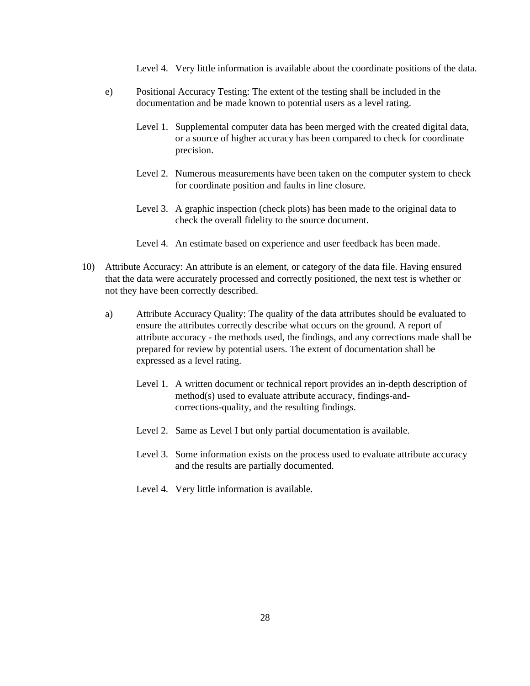Level 4. Very little information is available about the coordinate positions of the data.

- e) Positional Accuracy Testing: The extent of the testing shall be included in the documentation and be made known to potential users as a level rating.
	- Level 1. Supplemental computer data has been merged with the created digital data, or a source of higher accuracy has been compared to check for coordinate precision.
	- Level 2. Numerous measurements have been taken on the computer system to check for coordinate position and faults in line closure.
	- Level 3. A graphic inspection (check plots) has been made to the original data to check the overall fidelity to the source document.
	- Level 4. An estimate based on experience and user feedback has been made.
- 10) Attribute Accuracy: An attribute is an element, or category of the data file. Having ensured that the data were accurately processed and correctly positioned, the next test is whether or not they have been correctly described.
	- a) Attribute Accuracy Quality: The quality of the data attributes should be evaluated to ensure the attributes correctly describe what occurs on the ground. A report of attribute accuracy - the methods used, the findings, and any corrections made shall be prepared for review by potential users. The extent of documentation shall be expressed as a level rating.
		- Level 1. A written document or technical report provides an in-depth description of method(s) used to evaluate attribute accuracy, findings-andcorrections-quality, and the resulting findings.
		- Level 2. Same as Level I but only partial documentation is available.
		- Level 3. Some information exists on the process used to evaluate attribute accuracy and the results are partially documented.
		- Level 4. Very little information is available.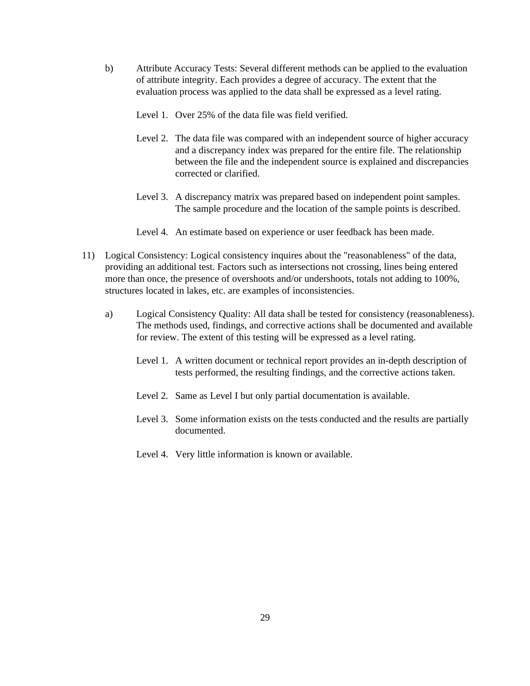- b) Attribute Accuracy Tests: Several different methods can be applied to the evaluation of attribute integrity. Each provides a degree of accuracy. The extent that the evaluation process was applied to the data shall be expressed as a level rating.
	- Level 1. Over 25% of the data file was field verified.
	- Level 2. The data file was compared with an independent source of higher accuracy and a discrepancy index was prepared for the entire file. The relationship between the file and the independent source is explained and discrepancies corrected or clarified.
	- Level 3. A discrepancy matrix was prepared based on independent point samples. The sample procedure and the location of the sample points is described.
	- Level 4. An estimate based on experience or user feedback has been made.
- 11) Logical Consistency: Logical consistency inquires about the "reasonableness" of the data, providing an additional test. Factors such as intersections not crossing, lines being entered more than once, the presence of overshoots and/or undershoots, totals not adding to 100%, structures located in lakes, etc. are examples of inconsistencies.
	- a) Logical Consistency Quality: All data shall be tested for consistency (reasonableness). The methods used, findings, and corrective actions shall be documented and available for review. The extent of this testing will be expressed as a level rating.
		- Level 1. A written document or technical report provides an in-depth description of tests performed, the resulting findings, and the corrective actions taken.
		- Level 2. Same as Level I but only partial documentation is available.
		- Level 3. Some information exists on the tests conducted and the results are partially documented.
		- Level 4. Very little information is known or available.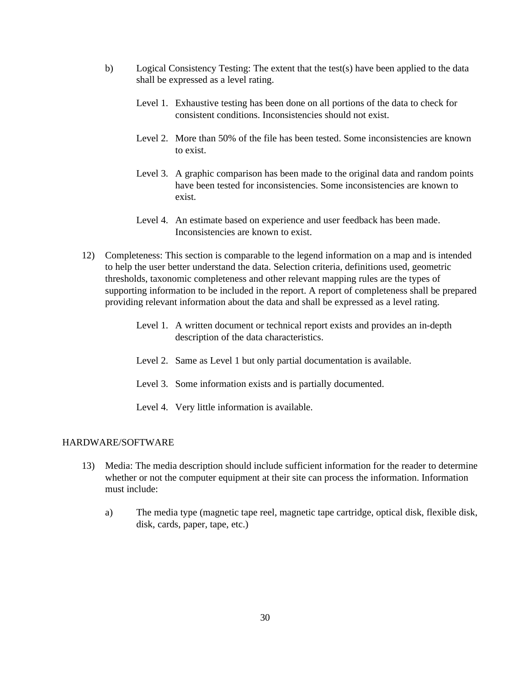- b) Logical Consistency Testing: The extent that the test(s) have been applied to the data shall be expressed as a level rating.
	- Level 1. Exhaustive testing has been done on all portions of the data to check for consistent conditions. Inconsistencies should not exist.
	- Level 2. More than 50% of the file has been tested. Some inconsistencies are known to exist.
	- Level 3. A graphic comparison has been made to the original data and random points have been tested for inconsistencies. Some inconsistencies are known to exist.
	- Level 4. An estimate based on experience and user feedback has been made. Inconsistencies are known to exist.
- 12) Completeness: This section is comparable to the legend information on a map and is intended to help the user better understand the data. Selection criteria, definitions used, geometric thresholds, taxonomic completeness and other relevant mapping rules are the types of supporting information to be included in the report. A report of completeness shall be prepared providing relevant information about the data and shall be expressed as a level rating.
	- Level 1. A written document or technical report exists and provides an in-depth description of the data characteristics.
	- Level 2. Same as Level 1 but only partial documentation is available.
	- Level 3. Some information exists and is partially documented.
	- Level 4. Very little information is available.

#### HARDWARE/SOFTWARE

- 13) Media: The media description should include sufficient information for the reader to determine whether or not the computer equipment at their site can process the information. Information must include:
	- a) The media type (magnetic tape reel, magnetic tape cartridge, optical disk, flexible disk, disk, cards, paper, tape, etc.)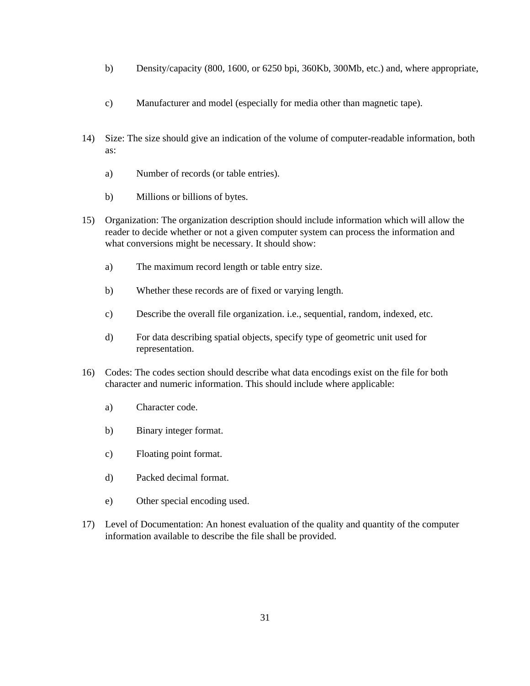- b) Density/capacity (800, 1600, or 6250 bpi, 360Kb, 300Mb, etc.) and, where appropriate,
- c) Manufacturer and model (especially for media other than magnetic tape).
- 14) Size: The size should give an indication of the volume of computer-readable information, both as:
	- a) Number of records (or table entries).
	- b) Millions or billions of bytes.
- 15) Organization: The organization description should include information which will allow the reader to decide whether or not a given computer system can process the information and what conversions might be necessary. It should show:
	- a) The maximum record length or table entry size.
	- b) Whether these records are of fixed or varying length.
	- c) Describe the overall file organization. i.e., sequential, random, indexed, etc.
	- d) For data describing spatial objects, specify type of geometric unit used for representation.
- 16) Codes: The codes section should describe what data encodings exist on the file for both character and numeric information. This should include where applicable:
	- a) Character code.
	- b) Binary integer format.
	- c) Floating point format.
	- d) Packed decimal format.
	- e) Other special encoding used.
- 17) Level of Documentation: An honest evaluation of the quality and quantity of the computer information available to describe the file shall be provided.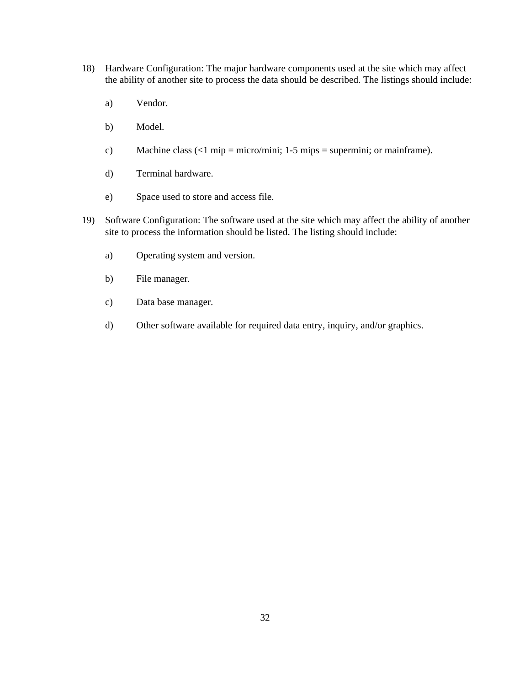- 18) Hardware Configuration: The major hardware components used at the site which may affect the ability of another site to process the data should be described. The listings should include:
	- a) Vendor.
	- b) Model.
	- c) Machine class  $\left(\langle 1 \text{ min} = \text{micro/min}; 1.5 \text{ min}\right) = \text{supermini}; \text{or mainframe}.$
	- d) Terminal hardware.
	- e) Space used to store and access file.
- 19) Software Configuration: The software used at the site which may affect the ability of another site to process the information should be listed. The listing should include:
	- a) Operating system and version.
	- b) File manager.
	- c) Data base manager.
	- d) Other software available for required data entry, inquiry, and/or graphics.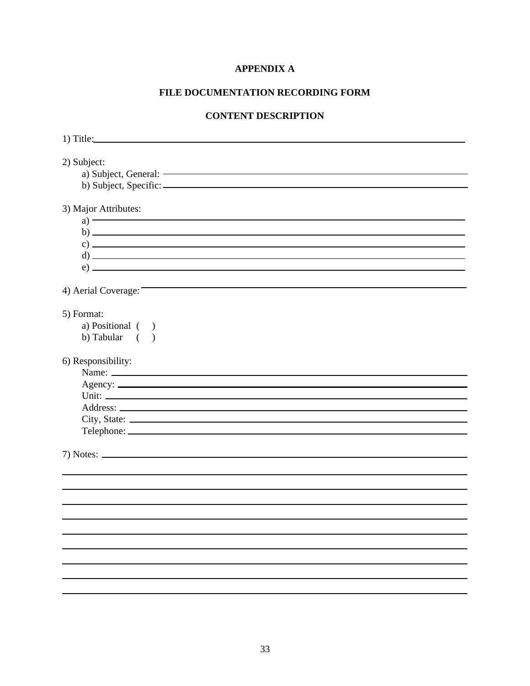# **APPENDIX A**

# **FILE DOCUMENTATION RECORDING FORM**

# **CONTENT DESCRIPTION**

| $1)$ Title:                                                                                                                                                         |
|---------------------------------------------------------------------------------------------------------------------------------------------------------------------|
| 2) Subject:                                                                                                                                                         |
| 3) Major Attributes:<br>$a) \longrightarrow$<br>$\mathbf{b) \perp}$<br>$c)$ $\overline{\phantom{a}}$<br>$\mathbf{d}$ ) $\blacksquare$<br>$\left( e\right)$ $\qquad$ |
| 4) Aerial Coverage:                                                                                                                                                 |
| 5) Format:<br>a) Positional ( )<br>b) Tabular $($ $)$                                                                                                               |
| 6) Responsibility:<br>Name:                                                                                                                                         |
|                                                                                                                                                                     |
|                                                                                                                                                                     |
|                                                                                                                                                                     |
| City, State:                                                                                                                                                        |
| Telephone:                                                                                                                                                          |
|                                                                                                                                                                     |
|                                                                                                                                                                     |
|                                                                                                                                                                     |
|                                                                                                                                                                     |
|                                                                                                                                                                     |
|                                                                                                                                                                     |
|                                                                                                                                                                     |
|                                                                                                                                                                     |
|                                                                                                                                                                     |
|                                                                                                                                                                     |
|                                                                                                                                                                     |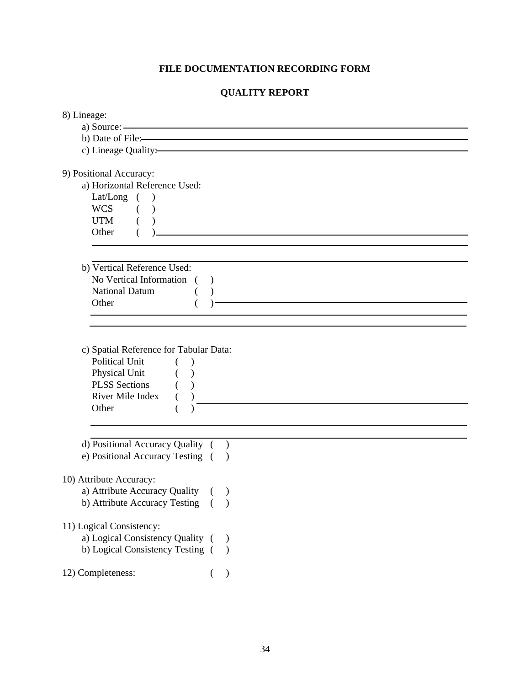# **FILE DOCUMENTATION RECORDING FORM**

# **QUALITY REPORT**

| 8) Lineage:                                                            |           |                                                   |  |
|------------------------------------------------------------------------|-----------|---------------------------------------------------|--|
| a) Source: $\overline{\phantom{a}}$                                    |           |                                                   |  |
| b) Date of File:                                                       |           |                                                   |  |
| c) Lineage Quality:                                                    |           |                                                   |  |
| 9) Positional Accuracy:                                                |           |                                                   |  |
| a) Horizontal Reference Used:                                          |           |                                                   |  |
| Lat/Long $($ $)$                                                       |           |                                                   |  |
| <b>WCS</b><br>$($ )                                                    |           |                                                   |  |
| <b>UTM</b>                                                             |           |                                                   |  |
| Other                                                                  |           | <u> 1980 - Johann Barbara, martxa alemaniar a</u> |  |
|                                                                        |           |                                                   |  |
| b) Vertical Reference Used:                                            |           |                                                   |  |
| No Vertical Information (                                              |           |                                                   |  |
| National Datum                                                         |           |                                                   |  |
| Other                                                                  |           |                                                   |  |
|                                                                        |           |                                                   |  |
|                                                                        |           |                                                   |  |
| c) Spatial Reference for Tabular Data:                                 |           |                                                   |  |
| <b>Political Unit</b><br>$\left($                                      |           |                                                   |  |
| Physical Unit                                                          |           |                                                   |  |
| <b>PLSS</b> Sections                                                   |           |                                                   |  |
| River Mile Index<br>$\left($                                           |           |                                                   |  |
| Other                                                                  |           |                                                   |  |
|                                                                        |           |                                                   |  |
|                                                                        |           |                                                   |  |
| d) Positional Accuracy Quality ()<br>e) Positional Accuracy Testing () |           |                                                   |  |
|                                                                        |           |                                                   |  |
| 10) Attribute Accuracy:                                                |           |                                                   |  |
| a) Attribute Accuracy Quality                                          |           |                                                   |  |
| b) Attribute Accuracy Testing ()                                       |           |                                                   |  |
|                                                                        |           |                                                   |  |
| 11) Logical Consistency:                                               |           |                                                   |  |
| a) Logical Consistency Quality (                                       |           |                                                   |  |
| b) Logical Consistency Testing ()                                      |           |                                                   |  |
|                                                                        |           |                                                   |  |
| 12) Completeness:                                                      | $\lambda$ |                                                   |  |
|                                                                        |           |                                                   |  |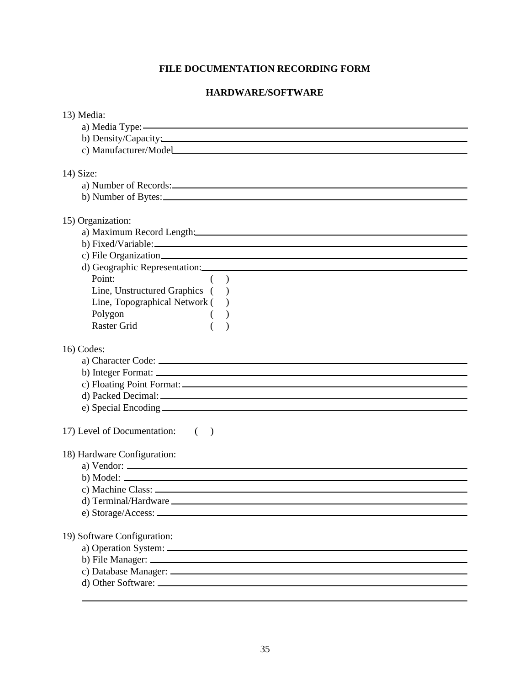# **FILE DOCUMENTATION RECORDING FORM**

# **HARDWARE/SOFTWARE**

| 13) Media:                                                                                                                                                                                                                                                                    |
|-------------------------------------------------------------------------------------------------------------------------------------------------------------------------------------------------------------------------------------------------------------------------------|
|                                                                                                                                                                                                                                                                               |
| b) Density/Capacity:                                                                                                                                                                                                                                                          |
| c) Manufacturer/Model                                                                                                                                                                                                                                                         |
|                                                                                                                                                                                                                                                                               |
| 14) Size:                                                                                                                                                                                                                                                                     |
|                                                                                                                                                                                                                                                                               |
|                                                                                                                                                                                                                                                                               |
| 15) Organization:                                                                                                                                                                                                                                                             |
| a) Maximum Record Length: 2008 and 2008 and 2008 and 2008 and 2008 and 2008 and 2008 and 2008 and 2008 and 200                                                                                                                                                                |
|                                                                                                                                                                                                                                                                               |
|                                                                                                                                                                                                                                                                               |
|                                                                                                                                                                                                                                                                               |
| Point:<br>$($ )                                                                                                                                                                                                                                                               |
| Line, Unstructured Graphics ()                                                                                                                                                                                                                                                |
| Line, Topographical Network ()                                                                                                                                                                                                                                                |
| Polygon                                                                                                                                                                                                                                                                       |
| <b>Raster Grid</b>                                                                                                                                                                                                                                                            |
|                                                                                                                                                                                                                                                                               |
| 16) Codes:                                                                                                                                                                                                                                                                    |
|                                                                                                                                                                                                                                                                               |
|                                                                                                                                                                                                                                                                               |
|                                                                                                                                                                                                                                                                               |
|                                                                                                                                                                                                                                                                               |
|                                                                                                                                                                                                                                                                               |
|                                                                                                                                                                                                                                                                               |
| 17) Level of Documentation: ()                                                                                                                                                                                                                                                |
|                                                                                                                                                                                                                                                                               |
| 18) Hardware Configuration:                                                                                                                                                                                                                                                   |
| a) Vendor: $\frac{1}{2}$ Vendor: $\frac{1}{2}$ Vendor: $\frac{1}{2}$ Vendor: $\frac{1}{2}$ Vendor: $\frac{1}{2}$ Vendor: $\frac{1}{2}$ Vendor: $\frac{1}{2}$ Vendor: $\frac{1}{2}$ Vendor: $\frac{1}{2}$ Vendor: $\frac{1}{2}$ Vendor: $\frac{1}{2}$ Vendor: $\frac{1}{2}$ Ve |
| $\mathbf b)$ Model:                                                                                                                                                                                                                                                           |
|                                                                                                                                                                                                                                                                               |
|                                                                                                                                                                                                                                                                               |
|                                                                                                                                                                                                                                                                               |
|                                                                                                                                                                                                                                                                               |
| 19) Software Configuration:                                                                                                                                                                                                                                                   |
|                                                                                                                                                                                                                                                                               |
|                                                                                                                                                                                                                                                                               |
|                                                                                                                                                                                                                                                                               |
|                                                                                                                                                                                                                                                                               |